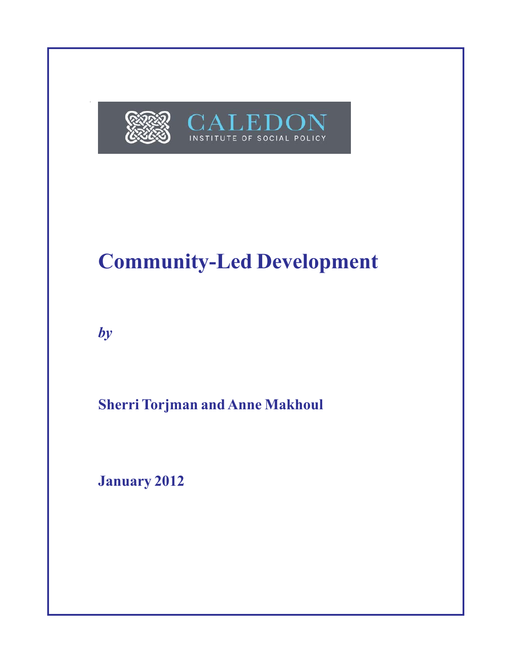

# **Community-Led Development**

*by*

**Sherri Torjman and Anne Makhoul**

**January 2012**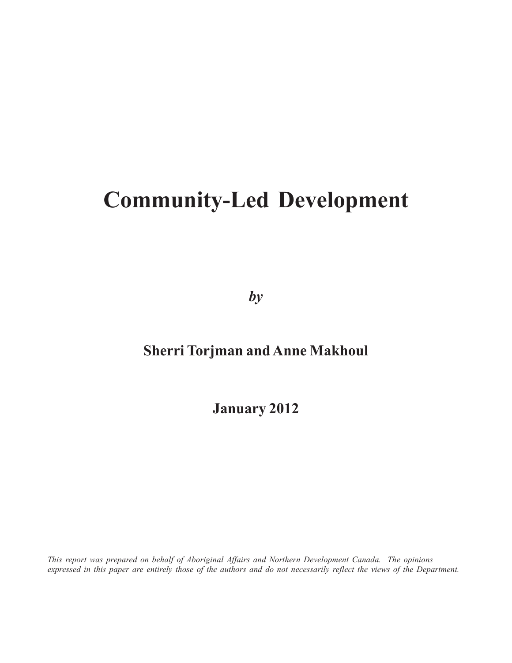# **Community-Led Development**

*by*

# **Sherri Torjman and Anne Makhoul**

**January 2012**

*This report was prepared on behalf of Aboriginal Affairs and Northern Development Canada. The opinions expressed in this paper are entirely those of the authors and do not necessarily reflect the views of the Department.*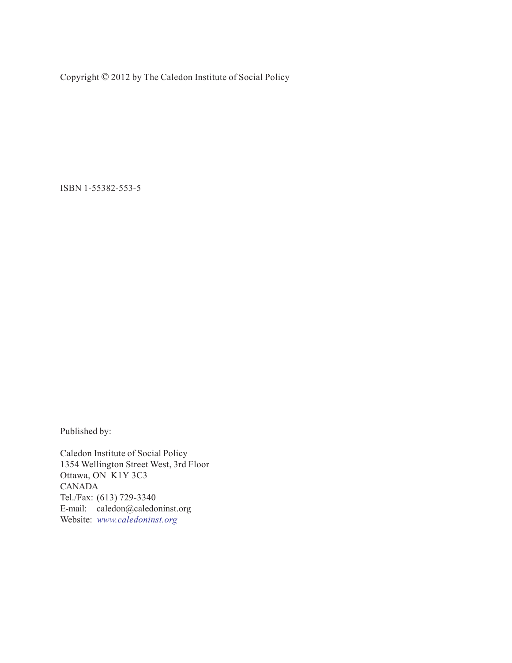Copyright © 2012 by The Caledon Institute of Social Policy

ISBN 1-55382-553-5

Published by:

Caledon Institute of Social Policy 1354 Wellington Street West, 3rd Floor Ottawa, ON K1Y 3C3 CANADA Tel./Fax: (613) 729-3340 E-mail: caledon@caledoninst.org Website: *www.caledoninst.org*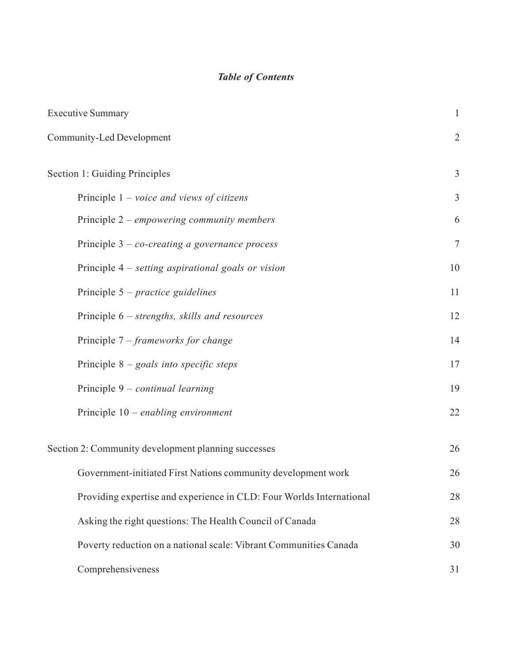## *Table of Contents*

| <b>Executive Summary</b>                                             | $\mathbf{1}$   |
|----------------------------------------------------------------------|----------------|
| Community-Led Development                                            | $\overline{2}$ |
| Section 1: Guiding Principles                                        | $\mathfrak{Z}$ |
| Principle $1 - voice$ and views of citizens                          | $\overline{3}$ |
| Principle 2 – empowering community members                           | 6              |
| Principle $3 - co-creating$ a governance process                     | $\overline{7}$ |
| Principle 4 – setting aspirational goals or vision                   | 10             |
| Principle $5$ – practice guidelines                                  | 11             |
| Principle 6 – strengths, skills and resources                        | 12             |
| Principle $7$ – frameworks for change                                | 14             |
| Principle $8$ – goals into specific steps                            | 17             |
| Principle $9$ – continual learning                                   | 19             |
| Principle 10 – enabling environment                                  | $22\,$         |
| Section 2: Community development planning successes                  | 26             |
| Government-initiated First Nations community development work        | 26             |
| Providing expertise and experience in CLD: Four Worlds International | 28             |
| Asking the right questions: The Health Council of Canada             | 28             |
| Poverty reduction on a national scale: Vibrant Communities Canada    | 30             |
| Comprehensiveness                                                    | 31             |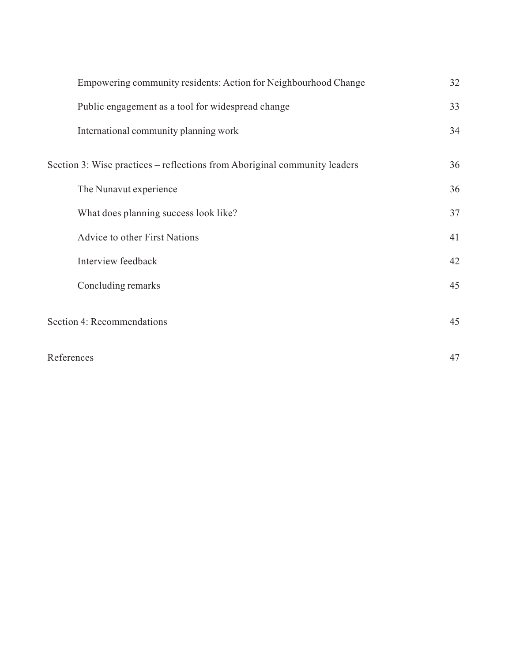| Empowering community residents: Action for Neighbourhood Change           | 32 |
|---------------------------------------------------------------------------|----|
| Public engagement as a tool for widespread change                         | 33 |
| International community planning work                                     | 34 |
| Section 3: Wise practices – reflections from Aboriginal community leaders | 36 |
| The Nunavut experience                                                    | 36 |
| What does planning success look like?                                     | 37 |
| Advice to other First Nations                                             | 41 |
| Interview feedback                                                        | 42 |
| Concluding remarks                                                        | 45 |
| Section 4: Recommendations                                                | 45 |
| References                                                                | 47 |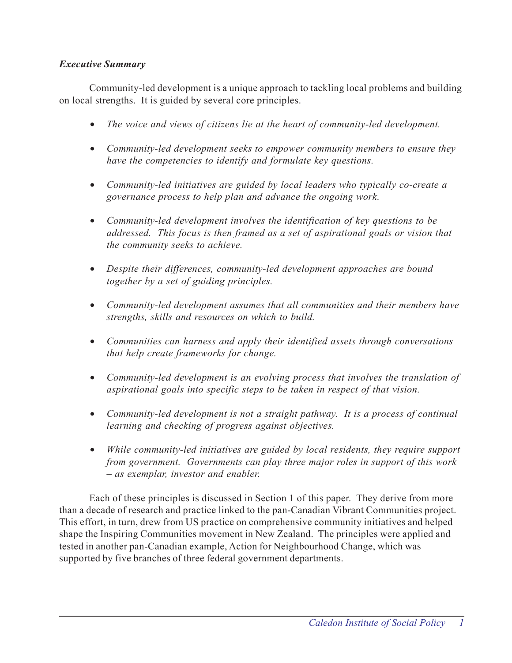## *Executive Summary*

Community-led development is a unique approach to tackling local problems and building on local strengths. It is guided by several core principles.

- *The voice and views of citizens lie at the heart of community-led development.*
- *Community-led development seeks to empower community members to ensure they have the competencies to identify and formulate key questions.*
- *Community-led initiatives are guided by local leaders who typically co-create a governance process to help plan and advance the ongoing work.*
- *Community-led development involves the identification of key questions to be addressed. This focus is then framed as a set of aspirational goals or vision that the community seeks to achieve.*
- *Despite their differences, community-led development approaches are bound together by a set of guiding principles.*
- *Community-led development assumes that all communities and their members have strengths, skills and resources on which to build.*
- *Communities can harness and apply their identified assets through conversations that help create frameworks for change.*
- *Community-led development is an evolving process that involves the translation of aspirational goals into specific steps to be taken in respect of that vision.*
- *Community-led development is not a straight pathway. It is a process of continual learning and checking of progress against objectives.*
- *While community-led initiatives are guided by local residents, they require support from government. Governments can play three major roles in support of this work – as exemplar, investor and enabler.*

Each of these principles is discussed in Section 1 of this paper. They derive from more than a decade of research and practice linked to the pan-Canadian Vibrant Communities project. This effort, in turn, drew from US practice on comprehensive community initiatives and helped shape the Inspiring Communities movement in New Zealand. The principles were applied and tested in another pan-Canadian example, Action for Neighbourhood Change, which was supported by five branches of three federal government departments.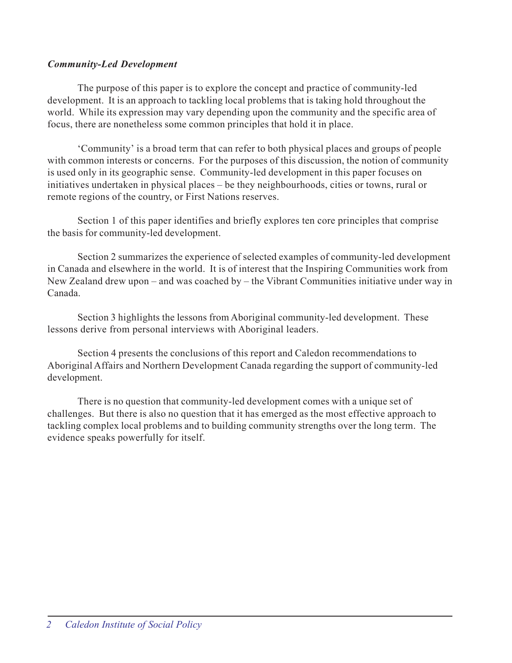## *Community-Led Development*

The purpose of this paper is to explore the concept and practice of community-led development. It is an approach to tackling local problems that is taking hold throughout the world. While its expression may vary depending upon the community and the specific area of focus, there are nonetheless some common principles that hold it in place.

'Community' is a broad term that can refer to both physical places and groups of people with common interests or concerns. For the purposes of this discussion, the notion of community is used only in its geographic sense. Community-led development in this paper focuses on initiatives undertaken in physical places – be they neighbourhoods, cities or towns, rural or remote regions of the country, or First Nations reserves.

Section 1 of this paper identifies and briefly explores ten core principles that comprise the basis for community-led development.

Section 2 summarizes the experience of selected examples of community-led development in Canada and elsewhere in the world. It is of interest that the Inspiring Communities work from New Zealand drew upon – and was coached by – the Vibrant Communities initiative under way in Canada.

Section 3 highlights the lessons from Aboriginal community-led development. These lessons derive from personal interviews with Aboriginal leaders.

Section 4 presents the conclusions of this report and Caledon recommendations to Aboriginal Affairs and Northern Development Canada regarding the support of community-led development.

There is no question that community-led development comes with a unique set of challenges. But there is also no question that it has emerged as the most effective approach to tackling complex local problems and to building community strengths over the long term. The evidence speaks powerfully for itself.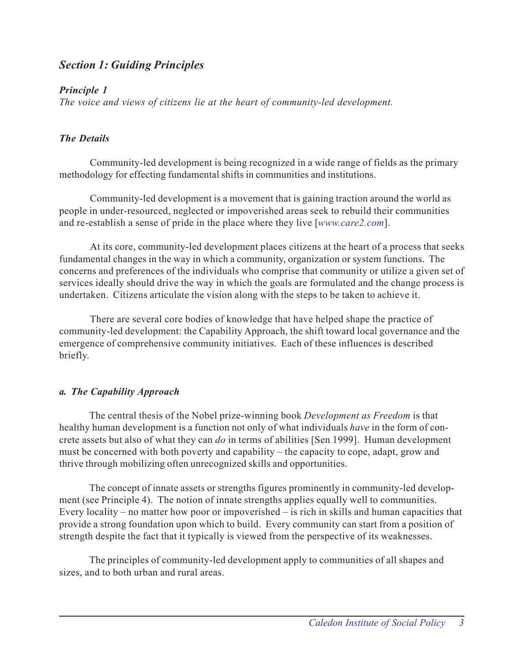## *Section 1: Guiding Principles*

## *Principle 1*

*The voice and views of citizens lie at the heart of community-led development.*

## *The Details*

Community-led development is being recognized in a wide range of fields as the primary methodology for effecting fundamental shifts in communities and institutions.

Community-led development is a movement that is gaining traction around the world as people in under-resourced, neglected or impoverished areas seek to rebuild their communities and re-establish a sense of pride in the place where they live [*www.care2.com*].

At its core, community-led development places citizens at the heart of a process that seeks fundamental changes in the way in which a community, organization or system functions. The concerns and preferences of the individuals who comprise that community or utilize a given set of services ideally should drive the way in which the goals are formulated and the change process is undertaken. Citizens articulate the vision along with the steps to be taken to achieve it.

There are several core bodies of knowledge that have helped shape the practice of community-led development: the Capability Approach, the shift toward local governance and the emergence of comprehensive community initiatives. Each of these influences is described briefly.

## *a. The Capability Approach*

The central thesis of the Nobel prize-winning book *Development as Freedom* is that healthy human development is a function not only of what individuals *have* in the form of concrete assets but also of what they can *do* in terms of abilities [Sen 1999]. Human development must be concerned with both poverty and capability – the capacity to cope, adapt, grow and thrive through mobilizing often unrecognized skills and opportunities.

The concept of innate assets or strengths figures prominently in community-led development (see Principle 4). The notion of innate strengths applies equally well to communities. Every locality – no matter how poor or impoverished – is rich in skills and human capacities that provide a strong foundation upon which to build. Every community can start from a position of strength despite the fact that it typically is viewed from the perspective of its weaknesses.

The principles of community-led development apply to communities of all shapes and sizes, and to both urban and rural areas.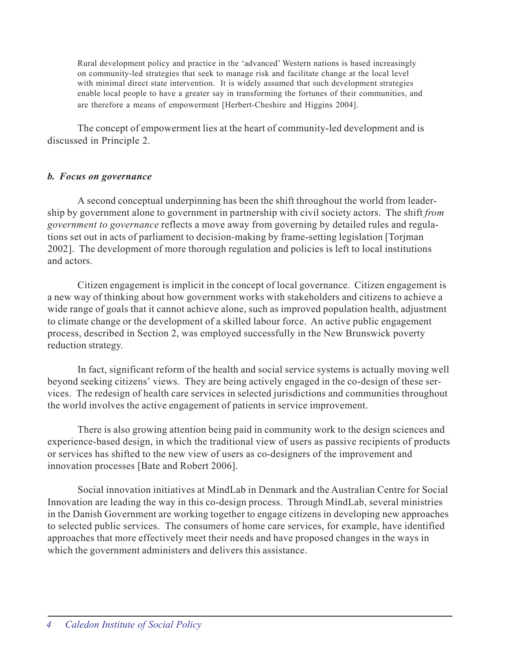Rural development policy and practice in the 'advanced' Western nations is based increasingly on community-led strategies that seek to manage risk and facilitate change at the local level with minimal direct state intervention. It is widely assumed that such development strategies enable local people to have a greater say in transforming the fortunes of their communities, and are therefore a means of empowerment [Herbert-Cheshire and Higgins 2004].

The concept of empowerment lies at the heart of community-led development and is discussed in Principle 2.

## *b. Focus on governance*

A second conceptual underpinning has been the shift throughout the world from leadership by government alone to government in partnership with civil society actors. The shift *from government to governance* reflects a move away from governing by detailed rules and regulations set out in acts of parliament to decision-making by frame-setting legislation [Torjman 2002]. The development of more thorough regulation and policies is left to local institutions and actors.

Citizen engagement is implicit in the concept of local governance. Citizen engagement is a new way of thinking about how government works with stakeholders and citizens to achieve a wide range of goals that it cannot achieve alone, such as improved population health, adjustment to climate change or the development of a skilled labour force. An active public engagement process, described in Section 2, was employed successfully in the New Brunswick poverty reduction strategy.

In fact, significant reform of the health and social service systems is actually moving well beyond seeking citizens' views. They are being actively engaged in the co-design of these services. The redesign of health care services in selected jurisdictions and communities throughout the world involves the active engagement of patients in service improvement.

There is also growing attention being paid in community work to the design sciences and experience-based design, in which the traditional view of users as passive recipients of products or services has shifted to the new view of users as co-designers of the improvement and innovation processes [Bate and Robert 2006].

Social innovation initiatives at MindLab in Denmark and the Australian Centre for Social Innovation are leading the way in this co-design process. Through MindLab, several ministries in the Danish Government are working together to engage citizens in developing new approaches to selected public services. The consumers of home care services, for example, have identified approaches that more effectively meet their needs and have proposed changes in the ways in which the government administers and delivers this assistance.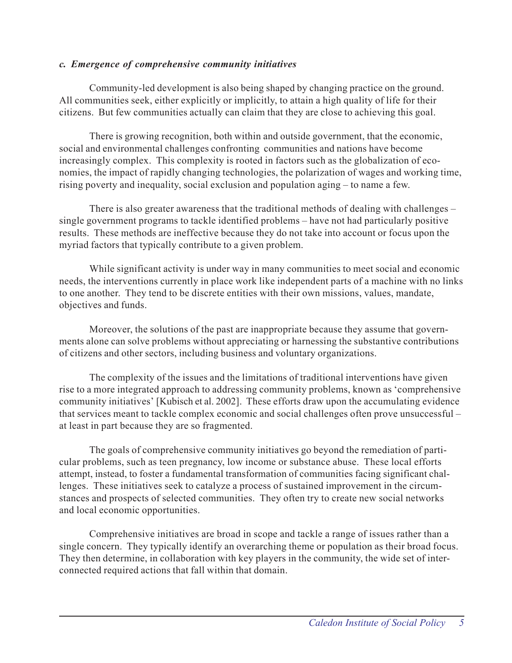## *c. Emergence of comprehensive community initiatives*

Community-led development is also being shaped by changing practice on the ground. All communities seek, either explicitly or implicitly, to attain a high quality of life for their citizens. But few communities actually can claim that they are close to achieving this goal.

There is growing recognition, both within and outside government, that the economic, social and environmental challenges confronting communities and nations have become increasingly complex. This complexity is rooted in factors such as the globalization of economies, the impact of rapidly changing technologies, the polarization of wages and working time, rising poverty and inequality, social exclusion and population aging – to name a few.

There is also greater awareness that the traditional methods of dealing with challenges – single government programs to tackle identified problems – have not had particularly positive results. These methods are ineffective because they do not take into account or focus upon the myriad factors that typically contribute to a given problem.

While significant activity is under way in many communities to meet social and economic needs, the interventions currently in place work like independent parts of a machine with no links to one another. They tend to be discrete entities with their own missions, values, mandate, objectives and funds.

Moreover, the solutions of the past are inappropriate because they assume that governments alone can solve problems without appreciating or harnessing the substantive contributions of citizens and other sectors, including business and voluntary organizations.

The complexity of the issues and the limitations of traditional interventions have given rise to a more integrated approach to addressing community problems, known as 'comprehensive community initiatives' [Kubisch et al. 2002]. These efforts draw upon the accumulating evidence that services meant to tackle complex economic and social challenges often prove unsuccessful – at least in part because they are so fragmented.

The goals of comprehensive community initiatives go beyond the remediation of particular problems, such as teen pregnancy, low income or substance abuse. These local efforts attempt, instead, to foster a fundamental transformation of communities facing significant challenges. These initiatives seek to catalyze a process of sustained improvement in the circumstances and prospects of selected communities. They often try to create new social networks and local economic opportunities.

Comprehensive initiatives are broad in scope and tackle a range of issues rather than a single concern. They typically identify an overarching theme or population as their broad focus. They then determine, in collaboration with key players in the community, the wide set of interconnected required actions that fall within that domain.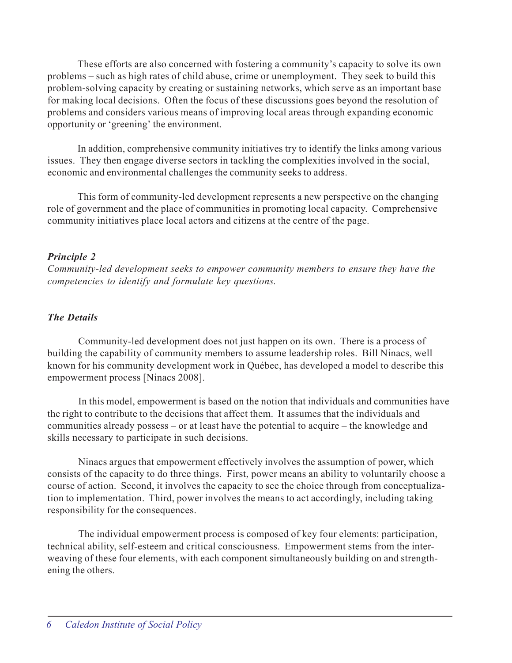These efforts are also concerned with fostering a community's capacity to solve its own problems – such as high rates of child abuse, crime or unemployment. They seek to build this problem-solving capacity by creating or sustaining networks, which serve as an important base for making local decisions. Often the focus of these discussions goes beyond the resolution of problems and considers various means of improving local areas through expanding economic opportunity or 'greening' the environment.

In addition, comprehensive community initiatives try to identify the links among various issues. They then engage diverse sectors in tackling the complexities involved in the social, economic and environmental challenges the community seeks to address.

This form of community-led development represents a new perspective on the changing role of government and the place of communities in promoting local capacity. Comprehensive community initiatives place local actors and citizens at the centre of the page.

## *Principle 2*

*Community-led development seeks to empower community members to ensure they have the competencies to identify and formulate key questions.*

## *The Details*

Community-led development does not just happen on its own. There is a process of building the capability of community members to assume leadership roles. Bill Ninacs, well known for his community development work in Québec, has developed a model to describe this empowerment process [Ninacs 2008].

In this model, empowerment is based on the notion that individuals and communities have the right to contribute to the decisions that affect them. It assumes that the individuals and communities already possess – or at least have the potential to acquire – the knowledge and skills necessary to participate in such decisions.

Ninacs argues that empowerment effectively involves the assumption of power, which consists of the capacity to do three things. First, power means an ability to voluntarily choose a course of action. Second, it involves the capacity to see the choice through from conceptualization to implementation. Third, power involves the means to act accordingly, including taking responsibility for the consequences.

The individual empowerment process is composed of key four elements: participation, technical ability, self-esteem and critical consciousness. Empowerment stems from the interweaving of these four elements, with each component simultaneously building on and strengthening the others.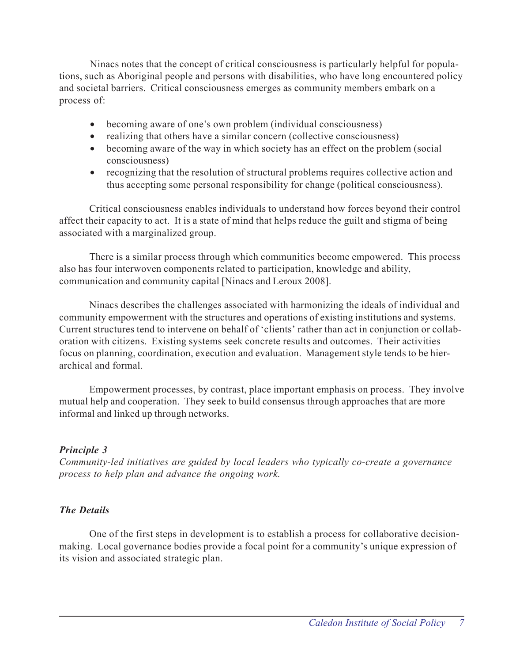Ninacs notes that the concept of critical consciousness is particularly helpful for populations, such as Aboriginal people and persons with disabilities, who have long encountered policy and societal barriers. Critical consciousness emerges as community members embark on a process of:

- becoming aware of one's own problem (individual consciousness)
- realizing that others have a similar concern (collective consciousness)
- becoming aware of the way in which society has an effect on the problem (social consciousness)
- recognizing that the resolution of structural problems requires collective action and thus accepting some personal responsibility for change (political consciousness).

Critical consciousness enables individuals to understand how forces beyond their control affect their capacity to act. It is a state of mind that helps reduce the guilt and stigma of being associated with a marginalized group.

There is a similar process through which communities become empowered. This process also has four interwoven components related to participation, knowledge and ability, communication and community capital [Ninacs and Leroux 2008].

Ninacs describes the challenges associated with harmonizing the ideals of individual and community empowerment with the structures and operations of existing institutions and systems. Current structures tend to intervene on behalf of 'clients' rather than act in conjunction or collaboration with citizens. Existing systems seek concrete results and outcomes. Their activities focus on planning, coordination, execution and evaluation. Management style tends to be hierarchical and formal.

Empowerment processes, by contrast, place important emphasis on process. They involve mutual help and cooperation. They seek to build consensus through approaches that are more informal and linked up through networks.

## *Principle 3*

*Community-led initiatives are guided by local leaders who typically co-create a governance process to help plan and advance the ongoing work.*

## *The Details*

One of the first steps in development is to establish a process for collaborative decisionmaking. Local governance bodies provide a focal point for a community's unique expression of its vision and associated strategic plan.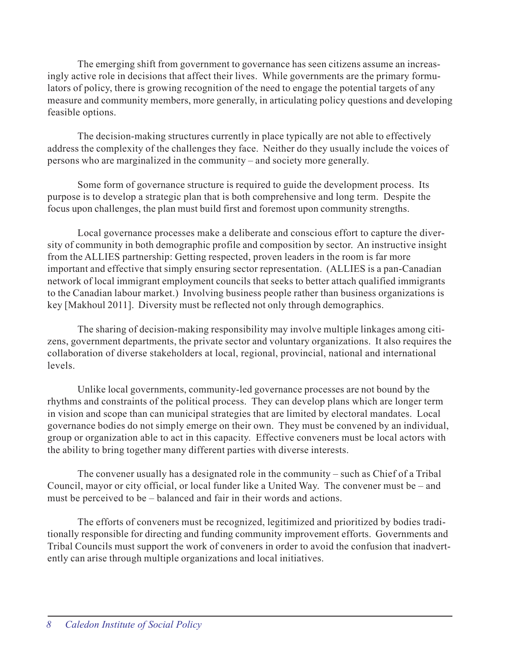The emerging shift from government to governance has seen citizens assume an increasingly active role in decisions that affect their lives. While governments are the primary formulators of policy, there is growing recognition of the need to engage the potential targets of any measure and community members, more generally, in articulating policy questions and developing feasible options.

The decision-making structures currently in place typically are not able to effectively address the complexity of the challenges they face. Neither do they usually include the voices of persons who are marginalized in the community – and society more generally.

Some form of governance structure is required to guide the development process. Its purpose is to develop a strategic plan that is both comprehensive and long term. Despite the focus upon challenges, the plan must build first and foremost upon community strengths.

Local governance processes make a deliberate and conscious effort to capture the diversity of community in both demographic profile and composition by sector. An instructive insight from the ALLIES partnership: Getting respected, proven leaders in the room is far more important and effective that simply ensuring sector representation. (ALLIES is a pan-Canadian network of local immigrant employment councils that seeks to better attach qualified immigrants to the Canadian labour market.) Involving business people rather than business organizations is key [Makhoul 2011]. Diversity must be reflected not only through demographics.

The sharing of decision-making responsibility may involve multiple linkages among citizens, government departments, the private sector and voluntary organizations. It also requires the collaboration of diverse stakeholders at local, regional, provincial, national and international levels.

Unlike local governments, community-led governance processes are not bound by the rhythms and constraints of the political process. They can develop plans which are longer term in vision and scope than can municipal strategies that are limited by electoral mandates. Local governance bodies do not simply emerge on their own. They must be convened by an individual, group or organization able to act in this capacity. Effective conveners must be local actors with the ability to bring together many different parties with diverse interests.

The convener usually has a designated role in the community – such as Chief of a Tribal Council, mayor or city official, or local funder like a United Way. The convener must be – and must be perceived to be – balanced and fair in their words and actions.

The efforts of conveners must be recognized, legitimized and prioritized by bodies traditionally responsible for directing and funding community improvement efforts. Governments and Tribal Councils must support the work of conveners in order to avoid the confusion that inadvertently can arise through multiple organizations and local initiatives.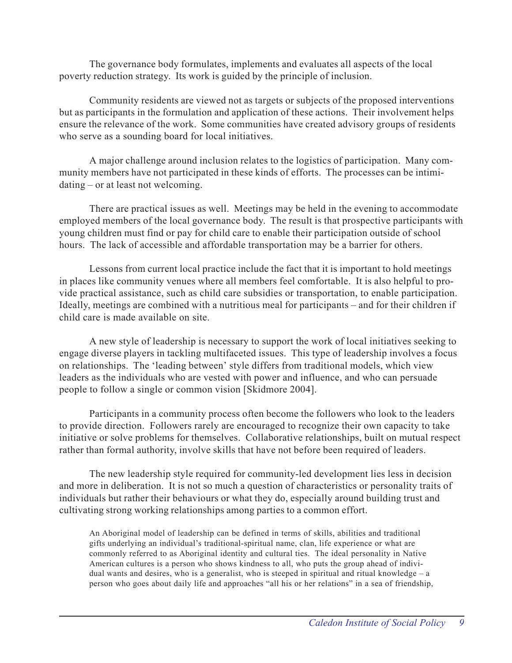The governance body formulates, implements and evaluates all aspects of the local poverty reduction strategy. Its work is guided by the principle of inclusion.

Community residents are viewed not as targets or subjects of the proposed interventions but as participants in the formulation and application of these actions. Their involvement helps ensure the relevance of the work. Some communities have created advisory groups of residents who serve as a sounding board for local initiatives.

A major challenge around inclusion relates to the logistics of participation. Many community members have not participated in these kinds of efforts. The processes can be intimidating – or at least not welcoming.

There are practical issues as well. Meetings may be held in the evening to accommodate employed members of the local governance body. The result is that prospective participants with young children must find or pay for child care to enable their participation outside of school hours. The lack of accessible and affordable transportation may be a barrier for others.

Lessons from current local practice include the fact that it is important to hold meetings in places like community venues where all members feel comfortable. It is also helpful to provide practical assistance, such as child care subsidies or transportation, to enable participation. Ideally, meetings are combined with a nutritious meal for participants – and for their children if child care is made available on site.

A new style of leadership is necessary to support the work of local initiatives seeking to engage diverse players in tackling multifaceted issues. This type of leadership involves a focus on relationships. The 'leading between' style differs from traditional models, which view leaders as the individuals who are vested with power and influence, and who can persuade people to follow a single or common vision [Skidmore 2004].

Participants in a community process often become the followers who look to the leaders to provide direction. Followers rarely are encouraged to recognize their own capacity to take initiative or solve problems for themselves. Collaborative relationships, built on mutual respect rather than formal authority, involve skills that have not before been required of leaders.

The new leadership style required for community-led development lies less in decision and more in deliberation. It is not so much a question of characteristics or personality traits of individuals but rather their behaviours or what they do, especially around building trust and cultivating strong working relationships among parties to a common effort.

An Aboriginal model of leadership can be defined in terms of skills, abilities and traditional gifts underlying an individual's traditional-spiritual name, clan, life experience or what are commonly referred to as Aboriginal identity and cultural ties. The ideal personality in Native American cultures is a person who shows kindness to all, who puts the group ahead of individual wants and desires, who is a generalist, who is steeped in spiritual and ritual knowledge – a person who goes about daily life and approaches "all his or her relations" in a sea of friendship,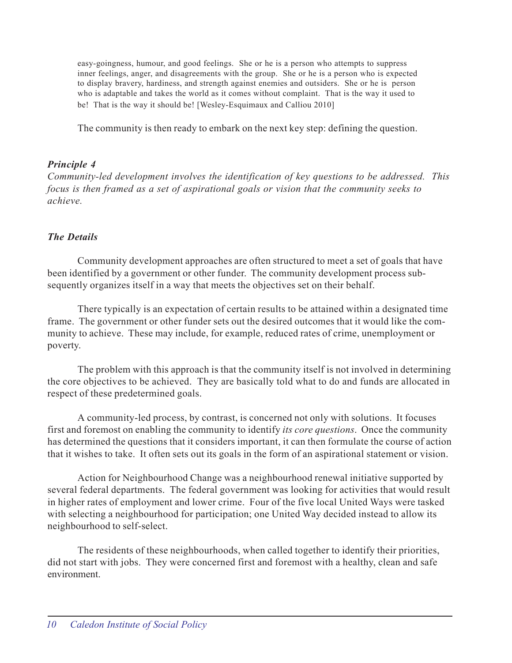easy-goingness, humour, and good feelings. She or he is a person who attempts to suppress inner feelings, anger, and disagreements with the group. She or he is a person who is expected to display bravery, hardiness, and strength against enemies and outsiders. She or he is person who is adaptable and takes the world as it comes without complaint. That is the way it used to be! That is the way it should be! [Wesley-Esquimaux and Calliou 2010]

The community is then ready to embark on the next key step: defining the question.

## *Principle 4*

*Community-led development involves the identification of key questions to be addressed. This focus is then framed as a set of aspirational goals or vision that the community seeks to achieve.*

## *The Details*

Community development approaches are often structured to meet a set of goals that have been identified by a government or other funder. The community development process subsequently organizes itself in a way that meets the objectives set on their behalf.

There typically is an expectation of certain results to be attained within a designated time frame. The government or other funder sets out the desired outcomes that it would like the community to achieve. These may include, for example, reduced rates of crime, unemployment or poverty.

The problem with this approach is that the community itself is not involved in determining the core objectives to be achieved. They are basically told what to do and funds are allocated in respect of these predetermined goals.

A community-led process, by contrast, is concerned not only with solutions. It focuses first and foremost on enabling the community to identify *its core questions*. Once the community has determined the questions that it considers important, it can then formulate the course of action that it wishes to take. It often sets out its goals in the form of an aspirational statement or vision.

Action for Neighbourhood Change was a neighbourhood renewal initiative supported by several federal departments. The federal government was looking for activities that would result in higher rates of employment and lower crime. Four of the five local United Ways were tasked with selecting a neighbourhood for participation; one United Way decided instead to allow its neighbourhood to self-select.

The residents of these neighbourhoods, when called together to identify their priorities, did not start with jobs. They were concerned first and foremost with a healthy, clean and safe environment.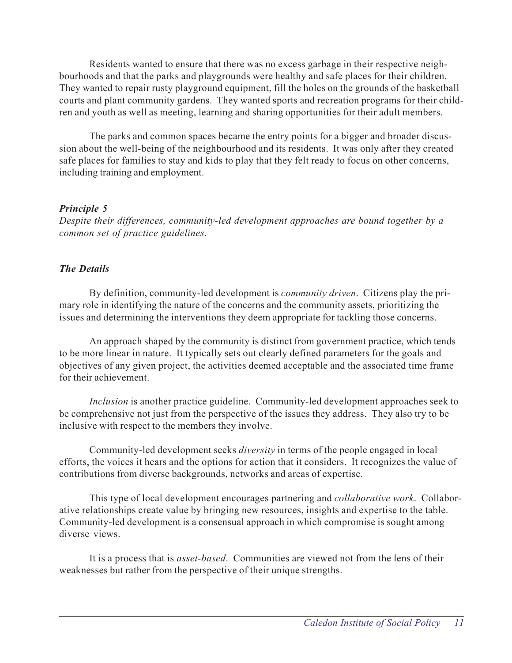Residents wanted to ensure that there was no excess garbage in their respective neighbourhoods and that the parks and playgrounds were healthy and safe places for their children. They wanted to repair rusty playground equipment, fill the holes on the grounds of the basketball courts and plant community gardens. They wanted sports and recreation programs for their children and youth as well as meeting, learning and sharing opportunities for their adult members.

The parks and common spaces became the entry points for a bigger and broader discussion about the well-being of the neighbourhood and its residents. It was only after they created safe places for families to stay and kids to play that they felt ready to focus on other concerns, including training and employment.

## *Principle 5*

*Despite their differences, community-led development approaches are bound together by a common set of practice guidelines.*

## *The Details*

By definition, community-led development is *community driven*. Citizens play the primary role in identifying the nature of the concerns and the community assets, prioritizing the issues and determining the interventions they deem appropriate for tackling those concerns.

An approach shaped by the community is distinct from government practice, which tends to be more linear in nature. It typically sets out clearly defined parameters for the goals and objectives of any given project, the activities deemed acceptable and the associated time frame for their achievement.

*Inclusion* is another practice guideline. Community-led development approaches seek to be comprehensive not just from the perspective of the issues they address. They also try to be inclusive with respect to the members they involve.

Community-led development seeks *diversity* in terms of the people engaged in local efforts, the voices it hears and the options for action that it considers. It recognizes the value of contributions from diverse backgrounds, networks and areas of expertise.

This type of local development encourages partnering and *collaborative work*. Collaborative relationships create value by bringing new resources, insights and expertise to the table. Community-led development is a consensual approach in which compromise is sought among diverse views.

It is a process that is *asset-based*. Communities are viewed not from the lens of their weaknesses but rather from the perspective of their unique strengths.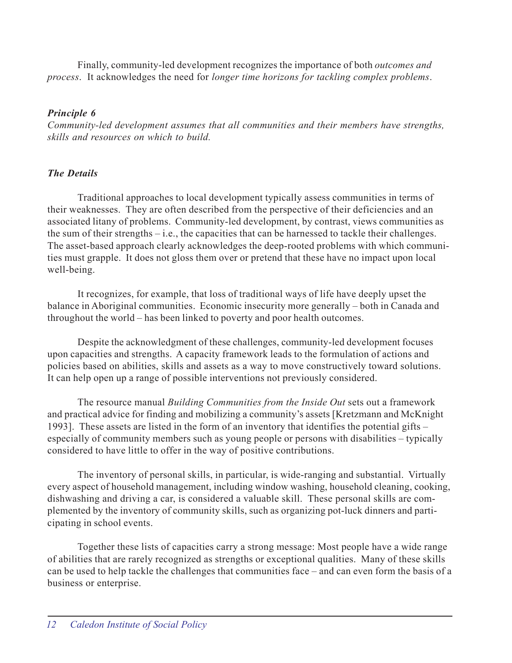Finally, community-led development recognizes the importance of both *outcomes and process*. It acknowledges the need for *longer time horizons for tackling complex problems*.

## *Principle 6*

*Community-led development assumes that all communities and their members have strengths, skills and resources on which to build.*

## *The Details*

Traditional approaches to local development typically assess communities in terms of their weaknesses. They are often described from the perspective of their deficiencies and an associated litany of problems. Community-led development, by contrast, views communities as the sum of their strengths – i.e., the capacities that can be harnessed to tackle their challenges. The asset-based approach clearly acknowledges the deep-rooted problems with which communities must grapple. It does not gloss them over or pretend that these have no impact upon local well-being.

It recognizes, for example, that loss of traditional ways of life have deeply upset the balance in Aboriginal communities. Economic insecurity more generally – both in Canada and throughout the world – has been linked to poverty and poor health outcomes.

Despite the acknowledgment of these challenges, community-led development focuses upon capacities and strengths. A capacity framework leads to the formulation of actions and policies based on abilities, skills and assets as a way to move constructively toward solutions. It can help open up a range of possible interventions not previously considered.

The resource manual *Building Communities from the Inside Out* sets out a framework and practical advice for finding and mobilizing a community's assets [Kretzmann and McKnight 1993]. These assets are listed in the form of an inventory that identifies the potential gifts – especially of community members such as young people or persons with disabilities – typically considered to have little to offer in the way of positive contributions.

The inventory of personal skills, in particular, is wide-ranging and substantial. Virtually every aspect of household management, including window washing, household cleaning, cooking, dishwashing and driving a car, is considered a valuable skill. These personal skills are complemented by the inventory of community skills, such as organizing pot-luck dinners and participating in school events.

Together these lists of capacities carry a strong message: Most people have a wide range of abilities that are rarely recognized as strengths or exceptional qualities. Many of these skills can be used to help tackle the challenges that communities face – and can even form the basis of a business or enterprise.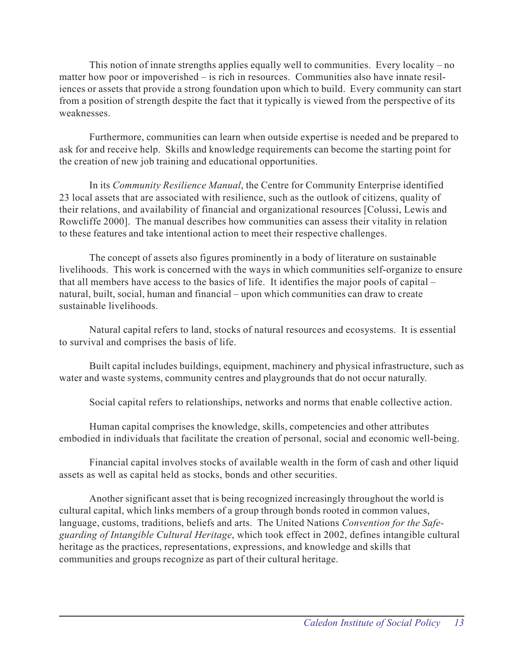This notion of innate strengths applies equally well to communities. Every locality – no matter how poor or impoverished – is rich in resources. Communities also have innate resiliences or assets that provide a strong foundation upon which to build. Every community can start from a position of strength despite the fact that it typically is viewed from the perspective of its weaknesses.

Furthermore, communities can learn when outside expertise is needed and be prepared to ask for and receive help. Skills and knowledge requirements can become the starting point for the creation of new job training and educational opportunities.

In its *Community Resilience Manual*, the Centre for Community Enterprise identified 23 local assets that are associated with resilience, such as the outlook of citizens, quality of their relations, and availability of financial and organizational resources [Colussi, Lewis and Rowcliffe 2000]. The manual describes how communities can assess their vitality in relation to these features and take intentional action to meet their respective challenges.

The concept of assets also figures prominently in a body of literature on sustainable livelihoods. This work is concerned with the ways in which communities self-organize to ensure that all members have access to the basics of life. It identifies the major pools of capital – natural, built, social, human and financial – upon which communities can draw to create sustainable livelihoods.

Natural capital refers to land, stocks of natural resources and ecosystems. It is essential to survival and comprises the basis of life.

Built capital includes buildings, equipment, machinery and physical infrastructure, such as water and waste systems, community centres and playgrounds that do not occur naturally.

Social capital refers to relationships, networks and norms that enable collective action.

Human capital comprises the knowledge, skills, competencies and other attributes embodied in individuals that facilitate the creation of personal, social and economic well-being.

Financial capital involves stocks of available wealth in the form of cash and other liquid assets as well as capital held as stocks, bonds and other securities.

Another significant asset that is being recognized increasingly throughout the world is cultural capital, which links members of a group through bonds rooted in common values, language, customs, traditions, beliefs and arts. The United Nations *Convention for the Safeguarding of Intangible Cultural Heritage*, which took effect in 2002, defines intangible cultural heritage as the practices, representations, expressions, and knowledge and skills that communities and groups recognize as part of their cultural heritage.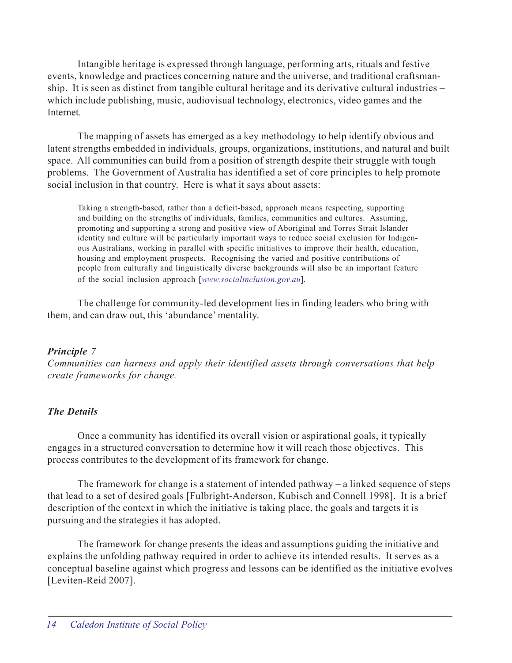Intangible heritage is expressed through language, performing arts, rituals and festive events, knowledge and practices concerning nature and the universe, and traditional craftsmanship. It is seen as distinct from tangible cultural heritage and its derivative cultural industries – which include publishing, music, audiovisual technology, electronics, video games and the **Internet** 

The mapping of assets has emerged as a key methodology to help identify obvious and latent strengths embedded in individuals, groups, organizations, institutions, and natural and built space. All communities can build from a position of strength despite their struggle with tough problems. The Government of Australia has identified a set of core principles to help promote social inclusion in that country. Here is what it says about assets:

Taking a strength-based, rather than a deficit-based, approach means respecting, supporting and building on the strengths of individuals, families, communities and cultures. Assuming, promoting and supporting a strong and positive view of Aboriginal and Torres Strait Islander identity and culture will be particularly important ways to reduce social exclusion for Indigenous Australians, working in parallel with specific initiatives to improve their health, education, housing and employment prospects. Recognising the varied and positive contributions of people from culturally and linguistically diverse backgrounds will also be an important feature of the social inclusion approach [*www.socialinclusion.gov.au*].

The challenge for community-led development lies in finding leaders who bring with them, and can draw out, this 'abundance' mentality.

## *Principle 7*

*Communities can harness and apply their identified assets through conversations that help create frameworks for change.*

## *The Details*

Once a community has identified its overall vision or aspirational goals, it typically engages in a structured conversation to determine how it will reach those objectives. This process contributes to the development of its framework for change.

The framework for change is a statement of intended pathway – a linked sequence of steps that lead to a set of desired goals [Fulbright-Anderson, Kubisch and Connell 1998]. It is a brief description of the context in which the initiative is taking place, the goals and targets it is pursuing and the strategies it has adopted.

The framework for change presents the ideas and assumptions guiding the initiative and explains the unfolding pathway required in order to achieve its intended results. It serves as a conceptual baseline against which progress and lessons can be identified as the initiative evolves [Leviten-Reid 2007].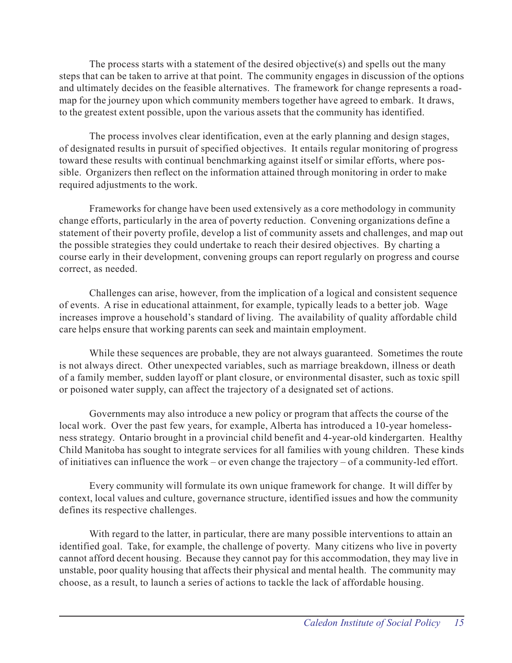The process starts with a statement of the desired objective(s) and spells out the many steps that can be taken to arrive at that point. The community engages in discussion of the options and ultimately decides on the feasible alternatives. The framework for change represents a roadmap for the journey upon which community members together have agreed to embark. It draws, to the greatest extent possible, upon the various assets that the community has identified.

The process involves clear identification, even at the early planning and design stages, of designated results in pursuit of specified objectives. It entails regular monitoring of progress toward these results with continual benchmarking against itself or similar efforts, where possible. Organizers then reflect on the information attained through monitoring in order to make required adjustments to the work.

Frameworks for change have been used extensively as a core methodology in community change efforts, particularly in the area of poverty reduction. Convening organizations define a statement of their poverty profile, develop a list of community assets and challenges, and map out the possible strategies they could undertake to reach their desired objectives. By charting a course early in their development, convening groups can report regularly on progress and course correct, as needed.

Challenges can arise, however, from the implication of a logical and consistent sequence of events. A rise in educational attainment, for example, typically leads to a better job. Wage increases improve a household's standard of living. The availability of quality affordable child care helps ensure that working parents can seek and maintain employment.

While these sequences are probable, they are not always guaranteed. Sometimes the route is not always direct. Other unexpected variables, such as marriage breakdown, illness or death of a family member, sudden layoff or plant closure, or environmental disaster, such as toxic spill or poisoned water supply, can affect the trajectory of a designated set of actions.

Governments may also introduce a new policy or program that affects the course of the local work. Over the past few years, for example, Alberta has introduced a 10-year homelessness strategy. Ontario brought in a provincial child benefit and 4-year-old kindergarten. Healthy Child Manitoba has sought to integrate services for all families with young children. These kinds of initiatives can influence the work – or even change the trajectory – of a community-led effort.

Every community will formulate its own unique framework for change. It will differ by context, local values and culture, governance structure, identified issues and how the community defines its respective challenges.

With regard to the latter, in particular, there are many possible interventions to attain an identified goal. Take, for example, the challenge of poverty. Many citizens who live in poverty cannot afford decent housing. Because they cannot pay for this accommodation, they may live in unstable, poor quality housing that affects their physical and mental health. The community may choose, as a result, to launch a series of actions to tackle the lack of affordable housing.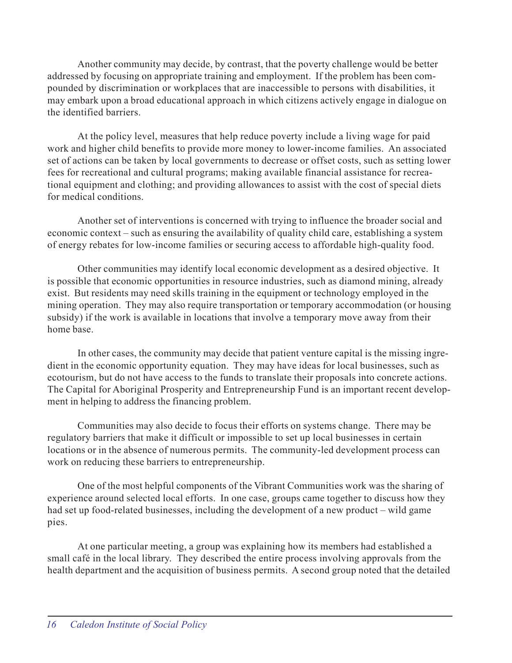Another community may decide, by contrast, that the poverty challenge would be better addressed by focusing on appropriate training and employment. If the problem has been compounded by discrimination or workplaces that are inaccessible to persons with disabilities, it may embark upon a broad educational approach in which citizens actively engage in dialogue on the identified barriers.

At the policy level, measures that help reduce poverty include a living wage for paid work and higher child benefits to provide more money to lower-income families. An associated set of actions can be taken by local governments to decrease or offset costs, such as setting lower fees for recreational and cultural programs; making available financial assistance for recreational equipment and clothing; and providing allowances to assist with the cost of special diets for medical conditions.

Another set of interventions is concerned with trying to influence the broader social and economic context – such as ensuring the availability of quality child care, establishing a system of energy rebates for low-income families or securing access to affordable high-quality food.

Other communities may identify local economic development as a desired objective. It is possible that economic opportunities in resource industries, such as diamond mining, already exist. But residents may need skills training in the equipment or technology employed in the mining operation. They may also require transportation or temporary accommodation (or housing subsidy) if the work is available in locations that involve a temporary move away from their home base.

In other cases, the community may decide that patient venture capital is the missing ingredient in the economic opportunity equation. They may have ideas for local businesses, such as ecotourism, but do not have access to the funds to translate their proposals into concrete actions. The Capital for Aboriginal Prosperity and Entrepreneurship Fund is an important recent development in helping to address the financing problem.

Communities may also decide to focus their efforts on systems change. There may be regulatory barriers that make it difficult or impossible to set up local businesses in certain locations or in the absence of numerous permits. The community-led development process can work on reducing these barriers to entrepreneurship.

One of the most helpful components of the Vibrant Communities work was the sharing of experience around selected local efforts. In one case, groups came together to discuss how they had set up food-related businesses, including the development of a new product – wild game pies.

At one particular meeting, a group was explaining how its members had established a small café in the local library. They described the entire process involving approvals from the health department and the acquisition of business permits. A second group noted that the detailed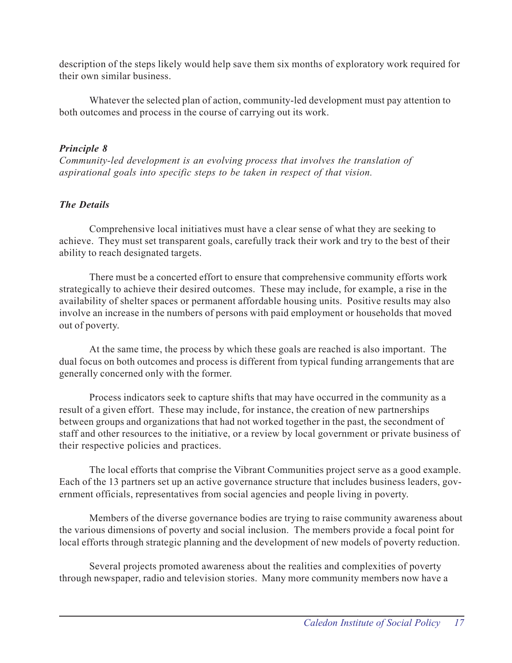description of the steps likely would help save them six months of exploratory work required for their own similar business.

Whatever the selected plan of action, community-led development must pay attention to both outcomes and process in the course of carrying out its work.

## *Principle 8*

*Community-led development is an evolving process that involves the translation of aspirational goals into specific steps to be taken in respect of that vision.*

## *The Details*

Comprehensive local initiatives must have a clear sense of what they are seeking to achieve. They must set transparent goals, carefully track their work and try to the best of their ability to reach designated targets.

There must be a concerted effort to ensure that comprehensive community efforts work strategically to achieve their desired outcomes. These may include, for example, a rise in the availability of shelter spaces or permanent affordable housing units. Positive results may also involve an increase in the numbers of persons with paid employment or households that moved out of poverty.

At the same time, the process by which these goals are reached is also important. The dual focus on both outcomes and process is different from typical funding arrangements that are generally concerned only with the former.

Process indicators seek to capture shifts that may have occurred in the community as a result of a given effort. These may include, for instance, the creation of new partnerships between groups and organizations that had not worked together in the past, the secondment of staff and other resources to the initiative, or a review by local government or private business of their respective policies and practices.

The local efforts that comprise the Vibrant Communities project serve as a good example. Each of the 13 partners set up an active governance structure that includes business leaders, government officials, representatives from social agencies and people living in poverty.

Members of the diverse governance bodies are trying to raise community awareness about the various dimensions of poverty and social inclusion. The members provide a focal point for local efforts through strategic planning and the development of new models of poverty reduction.

Several projects promoted awareness about the realities and complexities of poverty through newspaper, radio and television stories. Many more community members now have a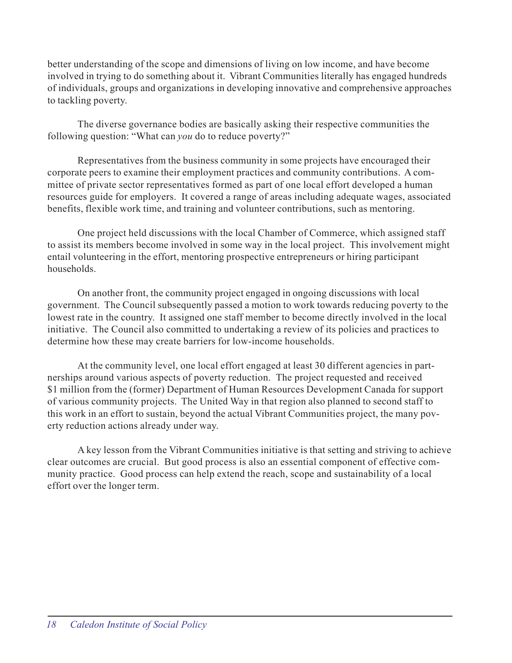better understanding of the scope and dimensions of living on low income, and have become involved in trying to do something about it. Vibrant Communities literally has engaged hundreds of individuals, groups and organizations in developing innovative and comprehensive approaches to tackling poverty.

The diverse governance bodies are basically asking their respective communities the following question: "What can *you* do to reduce poverty?"

Representatives from the business community in some projects have encouraged their corporate peers to examine their employment practices and community contributions. A committee of private sector representatives formed as part of one local effort developed a human resources guide for employers. It covered a range of areas including adequate wages, associated benefits, flexible work time, and training and volunteer contributions, such as mentoring.

One project held discussions with the local Chamber of Commerce, which assigned staff to assist its members become involved in some way in the local project. This involvement might entail volunteering in the effort, mentoring prospective entrepreneurs or hiring participant households.

On another front, the community project engaged in ongoing discussions with local government. The Council subsequently passed a motion to work towards reducing poverty to the lowest rate in the country. It assigned one staff member to become directly involved in the local initiative. The Council also committed to undertaking a review of its policies and practices to determine how these may create barriers for low-income households.

At the community level, one local effort engaged at least 30 different agencies in partnerships around various aspects of poverty reduction. The project requested and received \$1 million from the (former) Department of Human Resources Development Canada for support of various community projects. The United Way in that region also planned to second staff to this work in an effort to sustain, beyond the actual Vibrant Communities project, the many poverty reduction actions already under way.

A key lesson from the Vibrant Communities initiative is that setting and striving to achieve clear outcomes are crucial. But good process is also an essential component of effective community practice. Good process can help extend the reach, scope and sustainability of a local effort over the longer term.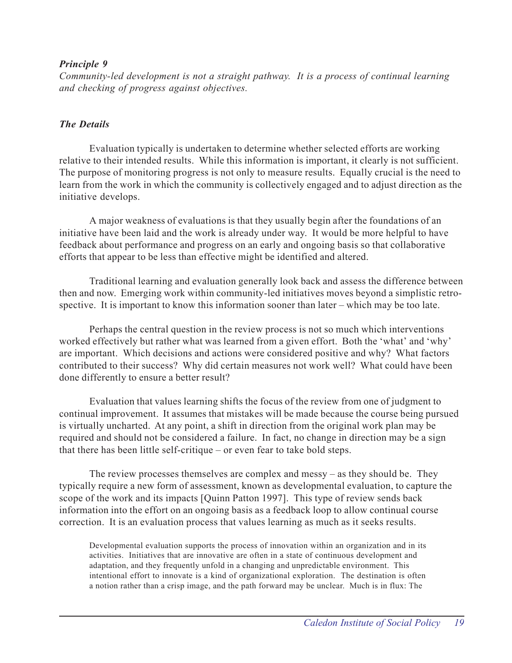## *Principle 9*

*Community-led development is not a straight pathway. It is a process of continual learning and checking of progress against objectives.*

## *The Details*

Evaluation typically is undertaken to determine whether selected efforts are working relative to their intended results. While this information is important, it clearly is not sufficient. The purpose of monitoring progress is not only to measure results. Equally crucial is the need to learn from the work in which the community is collectively engaged and to adjust direction as the initiative develops.

A major weakness of evaluations is that they usually begin after the foundations of an initiative have been laid and the work is already under way. It would be more helpful to have feedback about performance and progress on an early and ongoing basis so that collaborative efforts that appear to be less than effective might be identified and altered.

Traditional learning and evaluation generally look back and assess the difference between then and now. Emerging work within community-led initiatives moves beyond a simplistic retrospective. It is important to know this information sooner than later – which may be too late.

Perhaps the central question in the review process is not so much which interventions worked effectively but rather what was learned from a given effort. Both the 'what' and 'why' are important. Which decisions and actions were considered positive and why? What factors contributed to their success? Why did certain measures not work well? What could have been done differently to ensure a better result?

Evaluation that values learning shifts the focus of the review from one of judgment to continual improvement. It assumes that mistakes will be made because the course being pursued is virtually uncharted. At any point, a shift in direction from the original work plan may be required and should not be considered a failure. In fact, no change in direction may be a sign that there has been little self-critique – or even fear to take bold steps.

The review processes themselves are complex and messy – as they should be. They typically require a new form of assessment, known as developmental evaluation, to capture the scope of the work and its impacts [Quinn Patton 1997]. This type of review sends back information into the effort on an ongoing basis as a feedback loop to allow continual course correction. It is an evaluation process that values learning as much as it seeks results.

Developmental evaluation supports the process of innovation within an organization and in its activities. Initiatives that are innovative are often in a state of continuous development and adaptation, and they frequently unfold in a changing and unpredictable environment. This intentional effort to innovate is a kind of organizational exploration. The destination is often a notion rather than a crisp image, and the path forward may be unclear. Much is in flux: The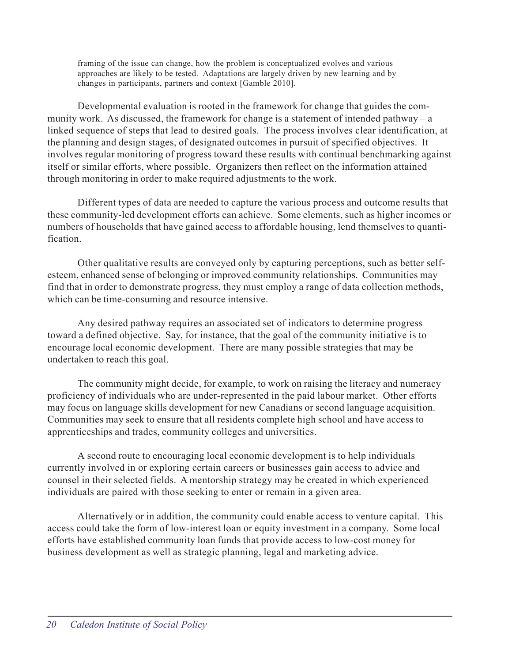framing of the issue can change, how the problem is conceptualized evolves and various approaches are likely to be tested. Adaptations are largely driven by new learning and by changes in participants, partners and context [Gamble 2010].

Developmental evaluation is rooted in the framework for change that guides the community work. As discussed, the framework for change is a statement of intended pathway – a linked sequence of steps that lead to desired goals. The process involves clear identification, at the planning and design stages, of designated outcomes in pursuit of specified objectives. It involves regular monitoring of progress toward these results with continual benchmarking against itself or similar efforts, where possible. Organizers then reflect on the information attained through monitoring in order to make required adjustments to the work.

Different types of data are needed to capture the various process and outcome results that these community-led development efforts can achieve. Some elements, such as higher incomes or numbers of households that have gained access to affordable housing, lend themselves to quantification.

Other qualitative results are conveyed only by capturing perceptions, such as better selfesteem, enhanced sense of belonging or improved community relationships. Communities may find that in order to demonstrate progress, they must employ a range of data collection methods, which can be time-consuming and resource intensive.

Any desired pathway requires an associated set of indicators to determine progress toward a defined objective. Say, for instance, that the goal of the community initiative is to encourage local economic development. There are many possible strategies that may be undertaken to reach this goal.

The community might decide, for example, to work on raising the literacy and numeracy proficiency of individuals who are under-represented in the paid labour market. Other efforts may focus on language skills development for new Canadians or second language acquisition. Communities may seek to ensure that all residents complete high school and have access to apprenticeships and trades, community colleges and universities.

A second route to encouraging local economic development is to help individuals currently involved in or exploring certain careers or businesses gain access to advice and counsel in their selected fields. A mentorship strategy may be created in which experienced individuals are paired with those seeking to enter or remain in a given area.

Alternatively or in addition, the community could enable access to venture capital. This access could take the form of low-interest loan or equity investment in a company. Some local efforts have established community loan funds that provide access to low-cost money for business development as well as strategic planning, legal and marketing advice.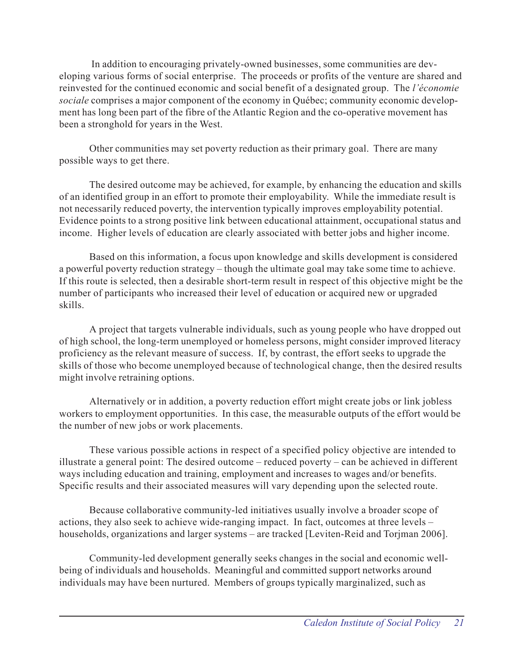In addition to encouraging privately-owned businesses, some communities are developing various forms of social enterprise. The proceeds or profits of the venture are shared and reinvested for the continued economic and social benefit of a designated group. The *l'économie sociale* comprises a major component of the economy in Québec; community economic development has long been part of the fibre of the Atlantic Region and the co-operative movement has been a stronghold for years in the West.

Other communities may set poverty reduction as their primary goal. There are many possible ways to get there.

The desired outcome may be achieved, for example, by enhancing the education and skills of an identified group in an effort to promote their employability. While the immediate result is not necessarily reduced poverty, the intervention typically improves employability potential. Evidence points to a strong positive link between educational attainment, occupational status and income. Higher levels of education are clearly associated with better jobs and higher income.

Based on this information, a focus upon knowledge and skills development is considered a powerful poverty reduction strategy – though the ultimate goal may take some time to achieve. If this route is selected, then a desirable short-term result in respect of this objective might be the number of participants who increased their level of education or acquired new or upgraded skills.

A project that targets vulnerable individuals, such as young people who have dropped out of high school, the long-term unemployed or homeless persons, might consider improved literacy proficiency as the relevant measure of success. If, by contrast, the effort seeks to upgrade the skills of those who become unemployed because of technological change, then the desired results might involve retraining options.

Alternatively or in addition, a poverty reduction effort might create jobs or link jobless workers to employment opportunities. In this case, the measurable outputs of the effort would be the number of new jobs or work placements.

These various possible actions in respect of a specified policy objective are intended to illustrate a general point: The desired outcome – reduced poverty – can be achieved in different ways including education and training, employment and increases to wages and/or benefits. Specific results and their associated measures will vary depending upon the selected route.

Because collaborative community-led initiatives usually involve a broader scope of actions, they also seek to achieve wide-ranging impact. In fact, outcomes at three levels – households, organizations and larger systems – are tracked [Leviten-Reid and Torjman 2006].

Community-led development generally seeks changes in the social and economic wellbeing of individuals and households. Meaningful and committed support networks around individuals may have been nurtured. Members of groups typically marginalized, such as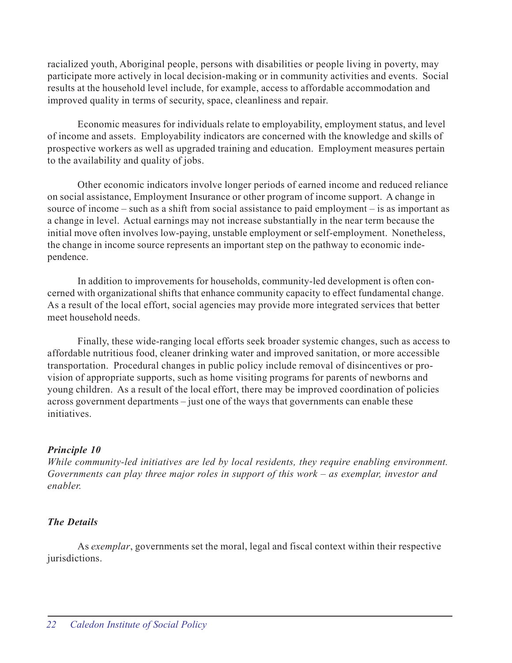racialized youth, Aboriginal people, persons with disabilities or people living in poverty, may participate more actively in local decision-making or in community activities and events. Social results at the household level include, for example, access to affordable accommodation and improved quality in terms of security, space, cleanliness and repair.

Economic measures for individuals relate to employability, employment status, and level of income and assets. Employability indicators are concerned with the knowledge and skills of prospective workers as well as upgraded training and education. Employment measures pertain to the availability and quality of jobs.

Other economic indicators involve longer periods of earned income and reduced reliance on social assistance, Employment Insurance or other program of income support. A change in source of income – such as a shift from social assistance to paid employment – is as important as a change in level. Actual earnings may not increase substantially in the near term because the initial move often involves low-paying, unstable employment or self-employment. Nonetheless, the change in income source represents an important step on the pathway to economic independence.

In addition to improvements for households, community-led development is often concerned with organizational shifts that enhance community capacity to effect fundamental change. As a result of the local effort, social agencies may provide more integrated services that better meet household needs.

Finally, these wide-ranging local efforts seek broader systemic changes, such as access to affordable nutritious food, cleaner drinking water and improved sanitation, or more accessible transportation. Procedural changes in public policy include removal of disincentives or provision of appropriate supports, such as home visiting programs for parents of newborns and young children. As a result of the local effort, there may be improved coordination of policies across government departments – just one of the ways that governments can enable these initiatives.

## *Principle 10*

*While community-led initiatives are led by local residents, they require enabling environment. Governments can play three major roles in support of this work – as exemplar, investor and enabler.*

## *The Details*

As *exemplar*, governments set the moral, legal and fiscal context within their respective jurisdictions.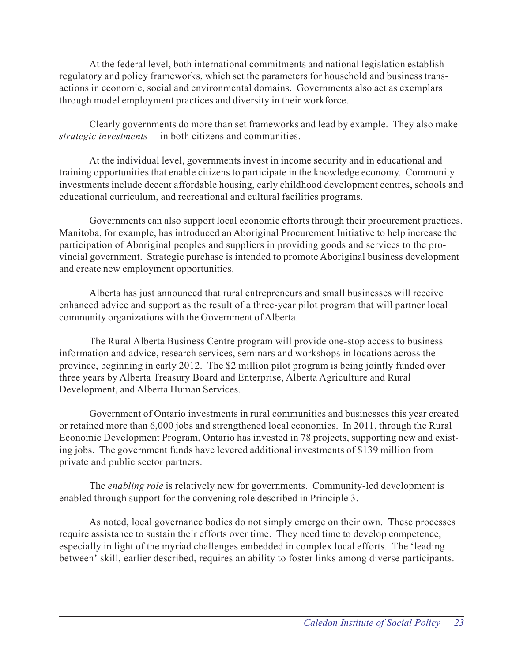At the federal level, both international commitments and national legislation establish regulatory and policy frameworks, which set the parameters for household and business transactions in economic, social and environmental domains. Governments also act as exemplars through model employment practices and diversity in their workforce.

Clearly governments do more than set frameworks and lead by example. They also make *strategic investments* – in both citizens and communities.

At the individual level, governments invest in income security and in educational and training opportunities that enable citizens to participate in the knowledge economy. Community investments include decent affordable housing, early childhood development centres, schools and educational curriculum, and recreational and cultural facilities programs.

Governments can also support local economic efforts through their procurement practices. Manitoba, for example, has introduced an Aboriginal Procurement Initiative to help increase the participation of Aboriginal peoples and suppliers in providing goods and services to the provincial government. Strategic purchase is intended to promote Aboriginal business development and create new employment opportunities.

Alberta has just announced that rural entrepreneurs and small businesses will receive enhanced advice and support as the result of a three-year pilot program that will partner local community organizations with the Government of Alberta.

The Rural Alberta Business Centre program will provide one-stop access to business information and advice, research services, seminars and workshops in locations across the province, beginning in early 2012. The \$2 million pilot program is being jointly funded over three years by Alberta Treasury Board and Enterprise, Alberta Agriculture and Rural Development, and Alberta Human Services.

Government of Ontario investments in rural communities and businesses this year created or retained more than 6,000 jobs and strengthened local economies. In 2011, through the Rural Economic Development Program, Ontario has invested in 78 projects, supporting new and existing jobs. The government funds have levered additional investments of \$139 million from private and public sector partners.

The *enabling role* is relatively new for governments. Community-led development is enabled through support for the convening role described in Principle 3.

As noted, local governance bodies do not simply emerge on their own. These processes require assistance to sustain their efforts over time. They need time to develop competence, especially in light of the myriad challenges embedded in complex local efforts. The 'leading between' skill, earlier described, requires an ability to foster links among diverse participants.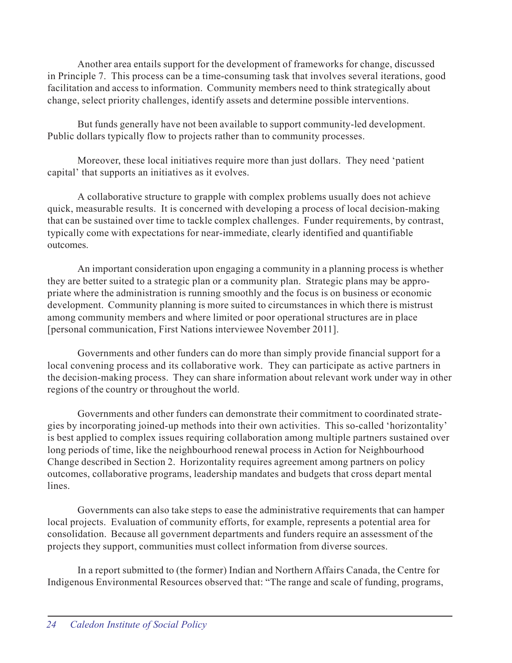Another area entails support for the development of frameworks for change, discussed in Principle 7. This process can be a time-consuming task that involves several iterations, good facilitation and access to information. Community members need to think strategically about change, select priority challenges, identify assets and determine possible interventions.

But funds generally have not been available to support community-led development. Public dollars typically flow to projects rather than to community processes.

Moreover, these local initiatives require more than just dollars. They need 'patient capital' that supports an initiatives as it evolves.

A collaborative structure to grapple with complex problems usually does not achieve quick, measurable results. It is concerned with developing a process of local decision-making that can be sustained over time to tackle complex challenges. Funder requirements, by contrast, typically come with expectations for near-immediate, clearly identified and quantifiable outcomes.

An important consideration upon engaging a community in a planning process is whether they are better suited to a strategic plan or a community plan. Strategic plans may be appropriate where the administration is running smoothly and the focus is on business or economic development. Community planning is more suited to circumstances in which there is mistrust among community members and where limited or poor operational structures are in place [personal communication, First Nations interviewee November 2011].

Governments and other funders can do more than simply provide financial support for a local convening process and its collaborative work. They can participate as active partners in the decision-making process. They can share information about relevant work under way in other regions of the country or throughout the world.

Governments and other funders can demonstrate their commitment to coordinated strategies by incorporating joined-up methods into their own activities. This so-called 'horizontality' is best applied to complex issues requiring collaboration among multiple partners sustained over long periods of time, like the neighbourhood renewal process in Action for Neighbourhood Change described in Section 2. Horizontality requires agreement among partners on policy outcomes, collaborative programs, leadership mandates and budgets that cross depart mental lines.

Governments can also take steps to ease the administrative requirements that can hamper local projects. Evaluation of community efforts, for example, represents a potential area for consolidation. Because all government departments and funders require an assessment of the projects they support, communities must collect information from diverse sources.

In a report submitted to (the former) Indian and Northern Affairs Canada, the Centre for Indigenous Environmental Resources observed that: "The range and scale of funding, programs,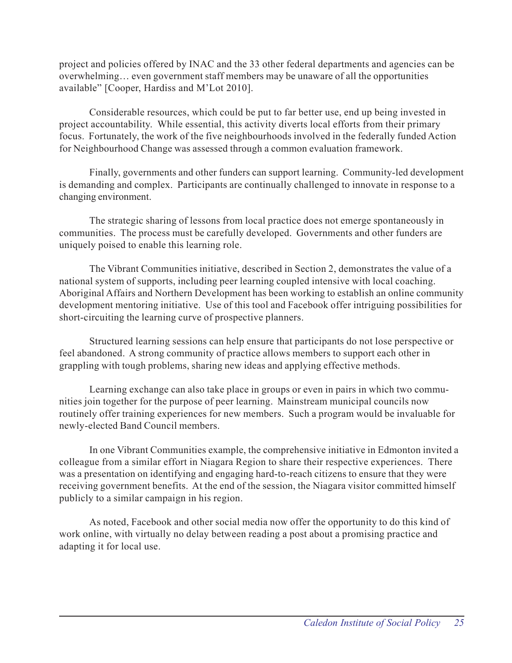project and policies offered by INAC and the 33 other federal departments and agencies can be overwhelming… even government staff members may be unaware of all the opportunities available" [Cooper, Hardiss and M'Lot 2010].

Considerable resources, which could be put to far better use, end up being invested in project accountability. While essential, this activity diverts local efforts from their primary focus. Fortunately, the work of the five neighbourhoods involved in the federally funded Action for Neighbourhood Change was assessed through a common evaluation framework.

Finally, governments and other funders can support learning. Community-led development is demanding and complex. Participants are continually challenged to innovate in response to a changing environment.

The strategic sharing of lessons from local practice does not emerge spontaneously in communities. The process must be carefully developed. Governments and other funders are uniquely poised to enable this learning role.

The Vibrant Communities initiative, described in Section 2, demonstrates the value of a national system of supports, including peer learning coupled intensive with local coaching. Aboriginal Affairs and Northern Development has been working to establish an online community development mentoring initiative. Use of this tool and Facebook offer intriguing possibilities for short-circuiting the learning curve of prospective planners.

Structured learning sessions can help ensure that participants do not lose perspective or feel abandoned. A strong community of practice allows members to support each other in grappling with tough problems, sharing new ideas and applying effective methods.

Learning exchange can also take place in groups or even in pairs in which two communities join together for the purpose of peer learning. Mainstream municipal councils now routinely offer training experiences for new members. Such a program would be invaluable for newly-elected Band Council members.

In one Vibrant Communities example, the comprehensive initiative in Edmonton invited a colleague from a similar effort in Niagara Region to share their respective experiences. There was a presentation on identifying and engaging hard-to-reach citizens to ensure that they were receiving government benefits. At the end of the session, the Niagara visitor committed himself publicly to a similar campaign in his region.

As noted, Facebook and other social media now offer the opportunity to do this kind of work online, with virtually no delay between reading a post about a promising practice and adapting it for local use.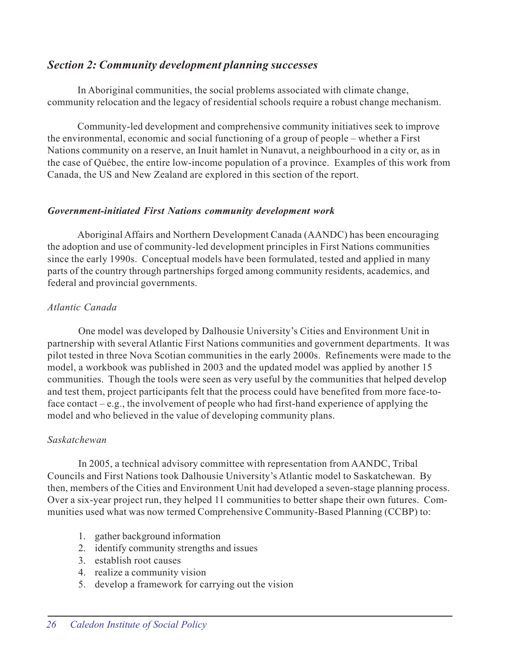## *Section 2: Community development planning successes*

In Aboriginal communities, the social problems associated with climate change, community relocation and the legacy of residential schools require a robust change mechanism.

Community-led development and comprehensive community initiatives seek to improve the environmental, economic and social functioning of a group of people – whether a First Nations community on a reserve, an Inuit hamlet in Nunavut, a neighbourhood in a city or, as in the case of Québec, the entire low-income population of a province. Examples of this work from Canada, the US and New Zealand are explored in this section of the report.

## *Government-initiated First Nations community development work*

Aboriginal Affairs and Northern Development Canada (AANDC) has been encouraging the adoption and use of community-led development principles in First Nations communities since the early 1990s. Conceptual models have been formulated, tested and applied in many parts of the country through partnerships forged among community residents, academics, and federal and provincial governments.

## *Atlantic Canada*

One model was developed by Dalhousie University's Cities and Environment Unit in partnership with several Atlantic First Nations communities and government departments. It was pilot tested in three Nova Scotian communities in the early 2000s. Refinements were made to the model, a workbook was published in 2003 and the updated model was applied by another 15 communities. Though the tools were seen as very useful by the communities that helped develop and test them, project participants felt that the process could have benefited from more face-toface contact – e.g., the involvement of people who had first-hand experience of applying the model and who believed in the value of developing community plans.

## *Saskatchewan*

In 2005, a technical advisory committee with representation from AANDC, Tribal Councils and First Nations took Dalhousie University's Atlantic model to Saskatchewan. By then, members of the Cities and Environment Unit had developed a seven-stage planning process. Over a six-year project run, they helped 11 communities to better shape their own futures. Communities used what was now termed Comprehensive Community-Based Planning (CCBP) to:

- 1. gather background information
- 2. identify community strengths and issues
- 3. establish root causes
- 4. realize a community vision
- 5. develop a framework for carrying out the vision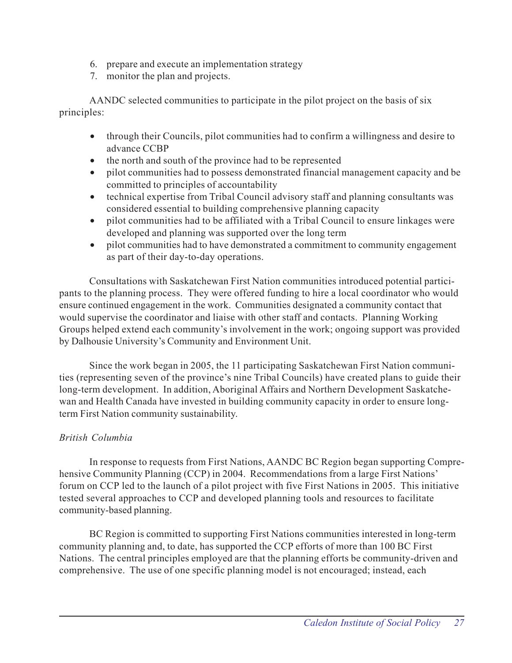- 6. prepare and execute an implementation strategy
- 7. monitor the plan and projects.

AANDC selected communities to participate in the pilot project on the basis of six principles:

- through their Councils, pilot communities had to confirm a willingness and desire to advance CCBP
- the north and south of the province had to be represented
- pilot communities had to possess demonstrated financial management capacity and be committed to principles of accountability
- technical expertise from Tribal Council advisory staff and planning consultants was considered essential to building comprehensive planning capacity
- pilot communities had to be affiliated with a Tribal Council to ensure linkages were developed and planning was supported over the long term
- pilot communities had to have demonstrated a commitment to community engagement as part of their day-to-day operations.

Consultations with Saskatchewan First Nation communities introduced potential participants to the planning process. They were offered funding to hire a local coordinator who would ensure continued engagement in the work. Communities designated a community contact that would supervise the coordinator and liaise with other staff and contacts. Planning Working Groups helped extend each community's involvement in the work; ongoing support was provided by Dalhousie University's Community and Environment Unit.

Since the work began in 2005, the 11 participating Saskatchewan First Nation communities (representing seven of the province's nine Tribal Councils) have created plans to guide their long-term development. In addition, Aboriginal Affairs and Northern Development Saskatchewan and Health Canada have invested in building community capacity in order to ensure longterm First Nation community sustainability.

## *British Columbia*

In response to requests from First Nations, AANDC BC Region began supporting Comprehensive Community Planning (CCP) in 2004. Recommendations from a large First Nations' forum on CCP led to the launch of a pilot project with five First Nations in 2005. This initiative tested several approaches to CCP and developed planning tools and resources to facilitate community-based planning.

BC Region is committed to supporting First Nations communities interested in long-term community planning and, to date, has supported the CCP efforts of more than 100 BC First Nations. The central principles employed are that the planning efforts be community-driven and comprehensive. The use of one specific planning model is not encouraged; instead, each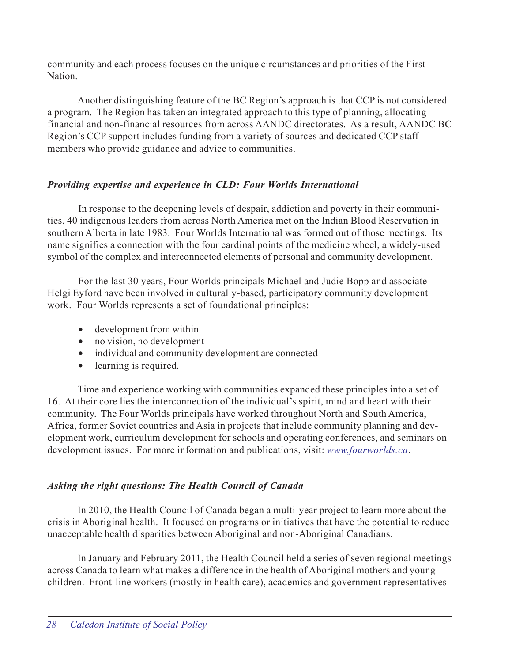community and each process focuses on the unique circumstances and priorities of the First **Nation** 

Another distinguishing feature of the BC Region's approach is that CCP is not considered a program. The Region has taken an integrated approach to this type of planning, allocating financial and non-financial resources from across AANDC directorates. As a result, AANDC BC Region's CCP support includes funding from a variety of sources and dedicated CCP staff members who provide guidance and advice to communities.

## *Providing expertise and experience in CLD: Four Worlds International*

In response to the deepening levels of despair, addiction and poverty in their communities, 40 indigenous leaders from across North America met on the Indian Blood Reservation in southern Alberta in late 1983. Four Worlds International was formed out of those meetings. Its name signifies a connection with the four cardinal points of the medicine wheel, a widely-used symbol of the complex and interconnected elements of personal and community development.

For the last 30 years, Four Worlds principals Michael and Judie Bopp and associate Helgi Eyford have been involved in culturally-based, participatory community development work. Four Worlds represents a set of foundational principles:

- development from within
- no vision, no development
- individual and community development are connected
- learning is required.

Time and experience working with communities expanded these principles into a set of 16. At their core lies the interconnection of the individual's spirit, mind and heart with their community. The Four Worlds principals have worked throughout North and South America, Africa, former Soviet countries and Asia in projects that include community planning and development work, curriculum development for schools and operating conferences, and seminars on development issues. For more information and publications, visit: *www.fourworlds.ca*.

## *Asking the right questions: The Health Council of Canada*

In 2010, the Health Council of Canada began a multi-year project to learn more about the crisis in Aboriginal health. It focused on programs or initiatives that have the potential to reduce unacceptable health disparities between Aboriginal and non-Aboriginal Canadians.

In January and February 2011, the Health Council held a series of seven regional meetings across Canada to learn what makes a difference in the health of Aboriginal mothers and young children. Front-line workers (mostly in health care), academics and government representatives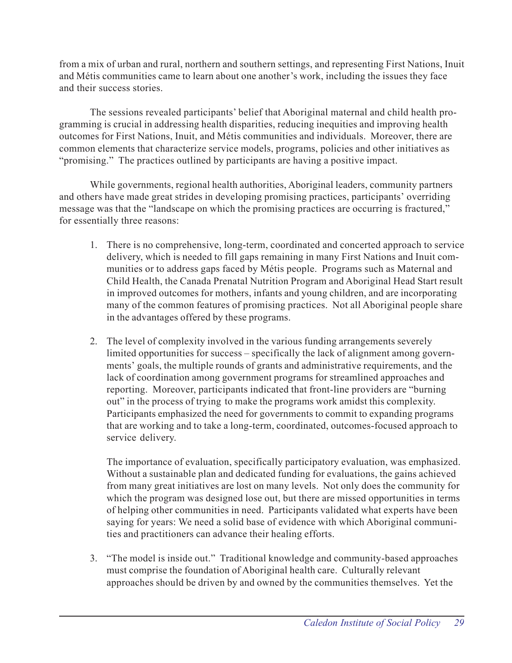from a mix of urban and rural, northern and southern settings, and representing First Nations, Inuit and Métis communities came to learn about one another's work, including the issues they face and their success stories.

The sessions revealed participants' belief that Aboriginal maternal and child health programming is crucial in addressing health disparities, reducing inequities and improving health outcomes for First Nations, Inuit, and Métis communities and individuals. Moreover, there are common elements that characterize service models, programs, policies and other initiatives as "promising." The practices outlined by participants are having a positive impact.

While governments, regional health authorities, Aboriginal leaders, community partners and others have made great strides in developing promising practices, participants' overriding message was that the "landscape on which the promising practices are occurring is fractured," for essentially three reasons:

- 1. There is no comprehensive, long-term, coordinated and concerted approach to service delivery, which is needed to fill gaps remaining in many First Nations and Inuit communities or to address gaps faced by Métis people. Programs such as Maternal and Child Health, the Canada Prenatal Nutrition Program and Aboriginal Head Start result in improved outcomes for mothers, infants and young children, and are incorporating many of the common features of promising practices. Not all Aboriginal people share in the advantages offered by these programs.
- 2. The level of complexity involved in the various funding arrangements severely limited opportunities for success – specifically the lack of alignment among governments' goals, the multiple rounds of grants and administrative requirements, and the lack of coordination among government programs for streamlined approaches and reporting. Moreover, participants indicated that front-line providers are "burning out" in the process of trying to make the programs work amidst this complexity. Participants emphasized the need for governments to commit to expanding programs that are working and to take a long-term, coordinated, outcomes-focused approach to service delivery.

The importance of evaluation, specifically participatory evaluation, was emphasized. Without a sustainable plan and dedicated funding for evaluations, the gains achieved from many great initiatives are lost on many levels. Not only does the community for which the program was designed lose out, but there are missed opportunities in terms of helping other communities in need. Participants validated what experts have been saying for years: We need a solid base of evidence with which Aboriginal communities and practitioners can advance their healing efforts.

3. "The model is inside out." Traditional knowledge and community-based approaches must comprise the foundation of Aboriginal health care. Culturally relevant approaches should be driven by and owned by the communities themselves. Yet the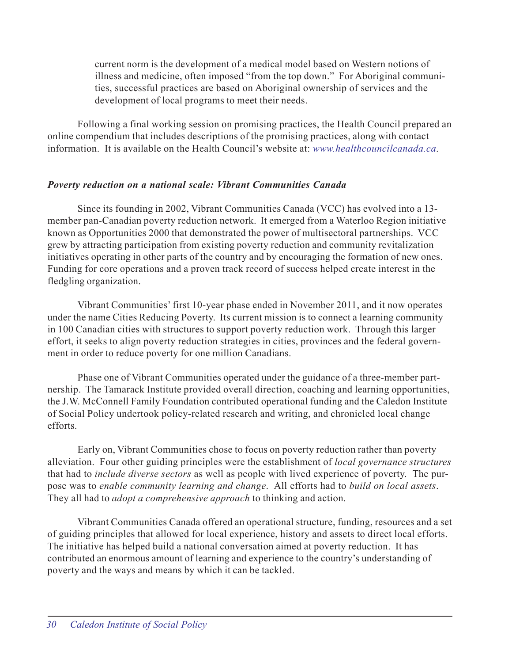current norm is the development of a medical model based on Western notions of illness and medicine, often imposed "from the top down." For Aboriginal communities, successful practices are based on Aboriginal ownership of services and the development of local programs to meet their needs.

Following a final working session on promising practices, the Health Council prepared an online compendium that includes descriptions of the promising practices, along with contact information. It is available on the Health Council's website at: *www.healthcouncilcanada.ca*.

## *Poverty reduction on a national scale: Vibrant Communities Canada*

Since its founding in 2002, Vibrant Communities Canada (VCC) has evolved into a 13 member pan-Canadian poverty reduction network. It emerged from a Waterloo Region initiative known as Opportunities 2000 that demonstrated the power of multisectoral partnerships. VCC grew by attracting participation from existing poverty reduction and community revitalization initiatives operating in other parts of the country and by encouraging the formation of new ones. Funding for core operations and a proven track record of success helped create interest in the fledgling organization.

Vibrant Communities' first 10-year phase ended in November 2011, and it now operates under the name Cities Reducing Poverty. Its current mission is to connect a learning community in 100 Canadian cities with structures to support poverty reduction work. Through this larger effort, it seeks to align poverty reduction strategies in cities, provinces and the federal government in order to reduce poverty for one million Canadians.

Phase one of Vibrant Communities operated under the guidance of a three-member partnership. The Tamarack Institute provided overall direction, coaching and learning opportunities, the J.W. McConnell Family Foundation contributed operational funding and the Caledon Institute of Social Policy undertook policy-related research and writing, and chronicled local change efforts.

Early on, Vibrant Communities chose to focus on poverty reduction rather than poverty alleviation. Four other guiding principles were the establishment of *local governance structures* that had to *include diverse sectors* as well as people with lived experience of poverty. The purpose was to *enable community learning and change*. All efforts had to *build on local assets*. They all had to *adopt a comprehensive approach* to thinking and action.

Vibrant Communities Canada offered an operational structure, funding, resources and a set of guiding principles that allowed for local experience, history and assets to direct local efforts. The initiative has helped build a national conversation aimed at poverty reduction. It has contributed an enormous amount of learning and experience to the country's understanding of poverty and the ways and means by which it can be tackled.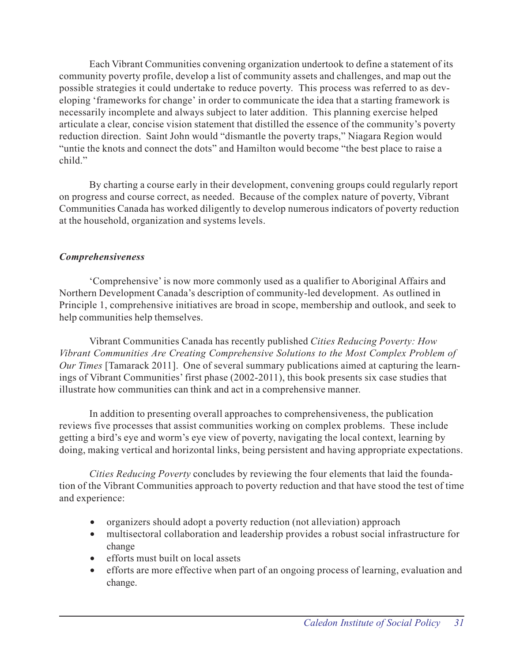Each Vibrant Communities convening organization undertook to define a statement of its community poverty profile, develop a list of community assets and challenges, and map out the possible strategies it could undertake to reduce poverty. This process was referred to as developing 'frameworks for change' in order to communicate the idea that a starting framework is necessarily incomplete and always subject to later addition. This planning exercise helped articulate a clear, concise vision statement that distilled the essence of the community's poverty reduction direction. Saint John would "dismantle the poverty traps," Niagara Region would "untie the knots and connect the dots" and Hamilton would become "the best place to raise a child."

By charting a course early in their development, convening groups could regularly report on progress and course correct, as needed. Because of the complex nature of poverty, Vibrant Communities Canada has worked diligently to develop numerous indicators of poverty reduction at the household, organization and systems levels.

## *Comprehensiveness*

'Comprehensive' is now more commonly used as a qualifier to Aboriginal Affairs and Northern Development Canada's description of community-led development. As outlined in Principle 1, comprehensive initiatives are broad in scope, membership and outlook, and seek to help communities help themselves.

Vibrant Communities Canada has recently published *Cities Reducing Poverty: How Vibrant Communities Are Creating Comprehensive Solutions to the Most Complex Problem of Our Times* [Tamarack 2011]. One of several summary publications aimed at capturing the learnings of Vibrant Communities' first phase (2002-2011), this book presents six case studies that illustrate how communities can think and act in a comprehensive manner.

In addition to presenting overall approaches to comprehensiveness, the publication reviews five processes that assist communities working on complex problems. These include getting a bird's eye and worm's eye view of poverty, navigating the local context, learning by doing, making vertical and horizontal links, being persistent and having appropriate expectations.

*Cities Reducing Poverty* concludes by reviewing the four elements that laid the foundation of the Vibrant Communities approach to poverty reduction and that have stood the test of time and experience:

- organizers should adopt a poverty reduction (not alleviation) approach
- multisectoral collaboration and leadership provides a robust social infrastructure for change
- efforts must built on local assets
- efforts are more effective when part of an ongoing process of learning, evaluation and change.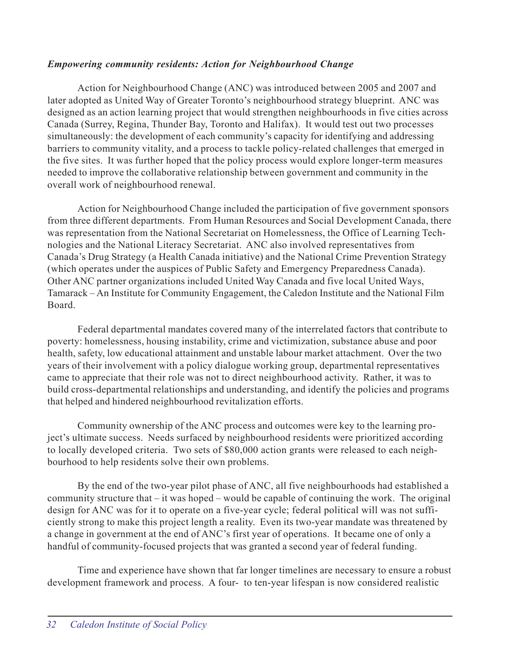## *Empowering community residents: Action for Neighbourhood Change*

Action for Neighbourhood Change (ANC) was introduced between 2005 and 2007 and later adopted as United Way of Greater Toronto's neighbourhood strategy blueprint. ANC was designed as an action learning project that would strengthen neighbourhoods in five cities across Canada (Surrey, Regina, Thunder Bay, Toronto and Halifax). It would test out two processes simultaneously: the development of each community's capacity for identifying and addressing barriers to community vitality, and a process to tackle policy-related challenges that emerged in the five sites. It was further hoped that the policy process would explore longer-term measures needed to improve the collaborative relationship between government and community in the overall work of neighbourhood renewal.

Action for Neighbourhood Change included the participation of five government sponsors from three different departments. From Human Resources and Social Development Canada, there was representation from the National Secretariat on Homelessness, the Office of Learning Technologies and the National Literacy Secretariat. ANC also involved representatives from Canada's Drug Strategy (a Health Canada initiative) and the National Crime Prevention Strategy (which operates under the auspices of Public Safety and Emergency Preparedness Canada). Other ANC partner organizations included United Way Canada and five local United Ways, Tamarack – An Institute for Community Engagement, the Caledon Institute and the National Film Board.

Federal departmental mandates covered many of the interrelated factors that contribute to poverty: homelessness, housing instability, crime and victimization, substance abuse and poor health, safety, low educational attainment and unstable labour market attachment. Over the two years of their involvement with a policy dialogue working group, departmental representatives came to appreciate that their role was not to direct neighbourhood activity. Rather, it was to build cross-departmental relationships and understanding, and identify the policies and programs that helped and hindered neighbourhood revitalization efforts.

Community ownership of the ANC process and outcomes were key to the learning project's ultimate success. Needs surfaced by neighbourhood residents were prioritized according to locally developed criteria. Two sets of \$80,000 action grants were released to each neighbourhood to help residents solve their own problems.

By the end of the two-year pilot phase of ANC, all five neighbourhoods had established a community structure that – it was hoped – would be capable of continuing the work. The original design for ANC was for it to operate on a five-year cycle; federal political will was not sufficiently strong to make this project length a reality. Even its two-year mandate was threatened by a change in government at the end of ANC's first year of operations. It became one of only a handful of community-focused projects that was granted a second year of federal funding.

Time and experience have shown that far longer timelines are necessary to ensure a robust development framework and process. A four- to ten-year lifespan is now considered realistic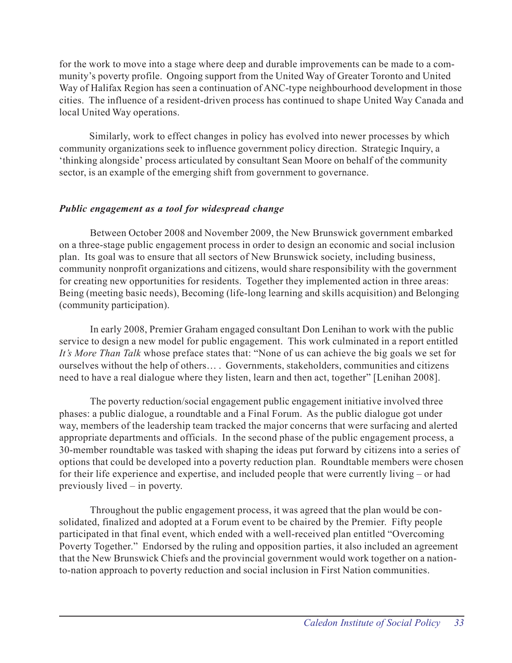for the work to move into a stage where deep and durable improvements can be made to a community's poverty profile. Ongoing support from the United Way of Greater Toronto and United Way of Halifax Region has seen a continuation of ANC-type neighbourhood development in those cities. The influence of a resident-driven process has continued to shape United Way Canada and local United Way operations.

Similarly, work to effect changes in policy has evolved into newer processes by which community organizations seek to influence government policy direction. Strategic Inquiry, a 'thinking alongside' process articulated by consultant Sean Moore on behalf of the community sector, is an example of the emerging shift from government to governance.

## *Public engagement as a tool for widespread change*

Between October 2008 and November 2009, the New Brunswick government embarked on a three-stage public engagement process in order to design an economic and social inclusion plan. Its goal was to ensure that all sectors of New Brunswick society, including business, community nonprofit organizations and citizens, would share responsibility with the government for creating new opportunities for residents. Together they implemented action in three areas: Being (meeting basic needs), Becoming (life-long learning and skills acquisition) and Belonging (community participation).

In early 2008, Premier Graham engaged consultant Don Lenihan to work with the public service to design a new model for public engagement. This work culminated in a report entitled *It's More Than Talk* whose preface states that: "None of us can achieve the big goals we set for ourselves without the help of others… . Governments, stakeholders, communities and citizens need to have a real dialogue where they listen, learn and then act, together" [Lenihan 2008].

The poverty reduction/social engagement public engagement initiative involved three phases: a public dialogue, a roundtable and a Final Forum. As the public dialogue got under way, members of the leadership team tracked the major concerns that were surfacing and alerted appropriate departments and officials. In the second phase of the public engagement process, a 30-member roundtable was tasked with shaping the ideas put forward by citizens into a series of options that could be developed into a poverty reduction plan. Roundtable members were chosen for their life experience and expertise, and included people that were currently living – or had previously lived – in poverty.

Throughout the public engagement process, it was agreed that the plan would be consolidated, finalized and adopted at a Forum event to be chaired by the Premier. Fifty people participated in that final event, which ended with a well-received plan entitled "Overcoming Poverty Together." Endorsed by the ruling and opposition parties, it also included an agreement that the New Brunswick Chiefs and the provincial government would work together on a nationto-nation approach to poverty reduction and social inclusion in First Nation communities.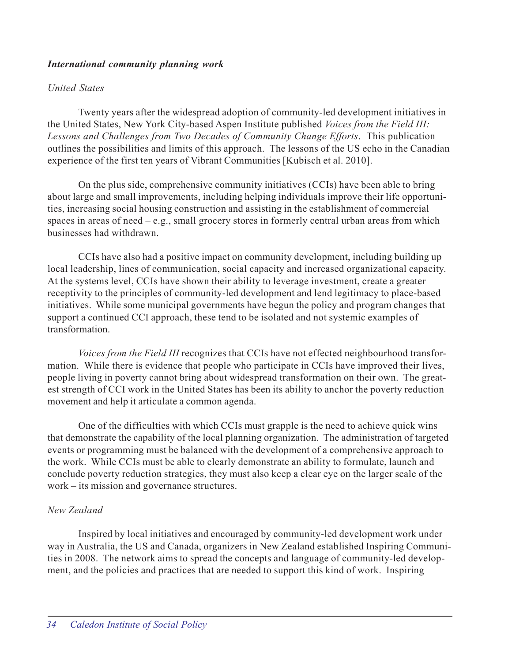## *International community planning work*

## *United States*

Twenty years after the widespread adoption of community-led development initiatives in the United States, New York City-based Aspen Institute published *Voices from the Field III: Lessons and Challenges from Two Decades of Community Change Efforts*. This publication outlines the possibilities and limits of this approach. The lessons of the US echo in the Canadian experience of the first ten years of Vibrant Communities [Kubisch et al. 2010].

On the plus side, comprehensive community initiatives (CCIs) have been able to bring about large and small improvements, including helping individuals improve their life opportunities, increasing social housing construction and assisting in the establishment of commercial spaces in areas of need  $-e.g.,$  small grocery stores in formerly central urban areas from which businesses had withdrawn.

CCIs have also had a positive impact on community development, including building up local leadership, lines of communication, social capacity and increased organizational capacity. At the systems level, CCIs have shown their ability to leverage investment, create a greater receptivity to the principles of community-led development and lend legitimacy to place-based initiatives. While some municipal governments have begun the policy and program changes that support a continued CCI approach, these tend to be isolated and not systemic examples of transformation.

*Voices from the Field III* recognizes that CCIs have not effected neighbourhood transformation. While there is evidence that people who participate in CCIs have improved their lives, people living in poverty cannot bring about widespread transformation on their own. The greatest strength of CCI work in the United States has been its ability to anchor the poverty reduction movement and help it articulate a common agenda.

One of the difficulties with which CCIs must grapple is the need to achieve quick wins that demonstrate the capability of the local planning organization. The administration of targeted events or programming must be balanced with the development of a comprehensive approach to the work. While CCIs must be able to clearly demonstrate an ability to formulate, launch and conclude poverty reduction strategies, they must also keep a clear eye on the larger scale of the work – its mission and governance structures.

## *New Zealand*

Inspired by local initiatives and encouraged by community-led development work under way in Australia, the US and Canada, organizers in New Zealand established Inspiring Communities in 2008. The network aims to spread the concepts and language of community-led development, and the policies and practices that are needed to support this kind of work. Inspiring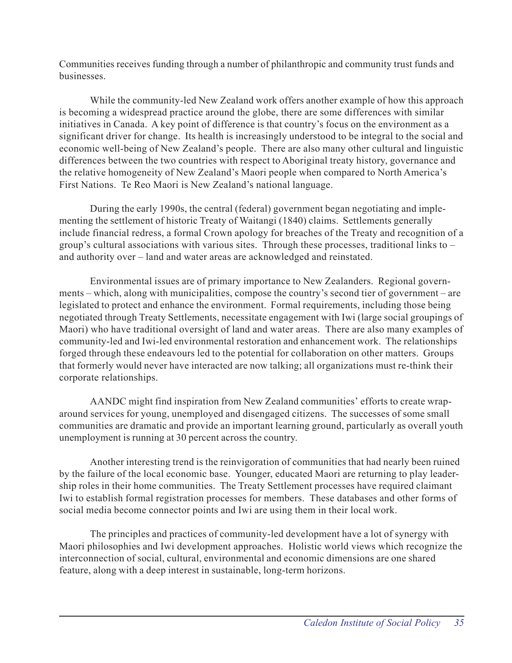Communities receives funding through a number of philanthropic and community trust funds and businesses.

While the community-led New Zealand work offers another example of how this approach is becoming a widespread practice around the globe, there are some differences with similar initiatives in Canada. A key point of difference is that country's focus on the environment as a significant driver for change. Its health is increasingly understood to be integral to the social and economic well-being of New Zealand's people. There are also many other cultural and linguistic differences between the two countries with respect to Aboriginal treaty history, governance and the relative homogeneity of New Zealand's Maori people when compared to North America's First Nations. Te Reo Maori is New Zealand's national language.

During the early 1990s, the central (federal) government began negotiating and implementing the settlement of historic Treaty of Waitangi (1840) claims. Settlements generally include financial redress, a formal Crown apology for breaches of the Treaty and recognition of a group's cultural associations with various sites. Through these processes, traditional links to – and authority over – land and water areas are acknowledged and reinstated.

Environmental issues are of primary importance to New Zealanders. Regional governments – which, along with municipalities, compose the country's second tier of government – are legislated to protect and enhance the environment. Formal requirements, including those being negotiated through Treaty Settlements, necessitate engagement with Iwi (large social groupings of Maori) who have traditional oversight of land and water areas. There are also many examples of community-led and Iwi-led environmental restoration and enhancement work. The relationships forged through these endeavours led to the potential for collaboration on other matters. Groups that formerly would never have interacted are now talking; all organizations must re-think their corporate relationships.

AANDC might find inspiration from New Zealand communities' efforts to create wraparound services for young, unemployed and disengaged citizens. The successes of some small communities are dramatic and provide an important learning ground, particularly as overall youth unemployment is running at 30 percent across the country.

Another interesting trend is the reinvigoration of communities that had nearly been ruined by the failure of the local economic base. Younger, educated Maori are returning to play leadership roles in their home communities. The Treaty Settlement processes have required claimant Iwi to establish formal registration processes for members. These databases and other forms of social media become connector points and Iwi are using them in their local work.

The principles and practices of community-led development have a lot of synergy with Maori philosophies and Iwi development approaches. Holistic world views which recognize the interconnection of social, cultural, environmental and economic dimensions are one shared feature, along with a deep interest in sustainable, long-term horizons.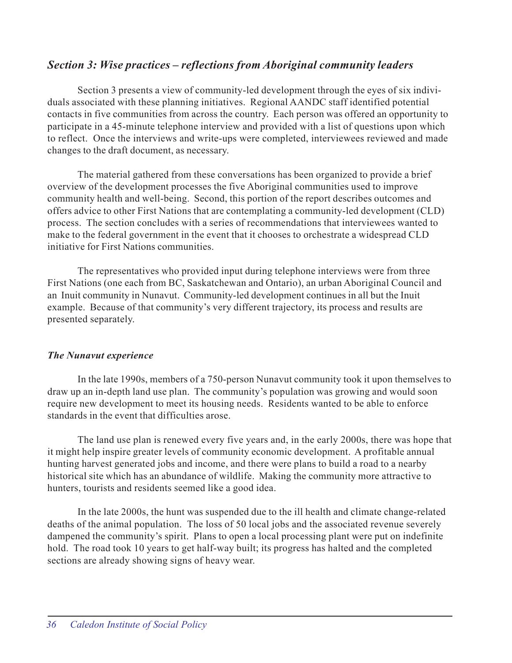## *Section 3: Wise practices – reflections from Aboriginal community leaders*

Section 3 presents a view of community-led development through the eyes of six individuals associated with these planning initiatives. Regional AANDC staff identified potential contacts in five communities from across the country. Each person was offered an opportunity to participate in a 45-minute telephone interview and provided with a list of questions upon which to reflect. Once the interviews and write-ups were completed, interviewees reviewed and made changes to the draft document, as necessary.

The material gathered from these conversations has been organized to provide a brief overview of the development processes the five Aboriginal communities used to improve community health and well-being. Second, this portion of the report describes outcomes and offers advice to other First Nations that are contemplating a community-led development (CLD) process. The section concludes with a series of recommendations that interviewees wanted to make to the federal government in the event that it chooses to orchestrate a widespread CLD initiative for First Nations communities.

The representatives who provided input during telephone interviews were from three First Nations (one each from BC, Saskatchewan and Ontario), an urban Aboriginal Council and an Inuit community in Nunavut. Community-led development continues in all but the Inuit example. Because of that community's very different trajectory, its process and results are presented separately.

## *The Nunavut experience*

In the late 1990s, members of a 750-person Nunavut community took it upon themselves to draw up an in-depth land use plan. The community's population was growing and would soon require new development to meet its housing needs. Residents wanted to be able to enforce standards in the event that difficulties arose.

The land use plan is renewed every five years and, in the early 2000s, there was hope that it might help inspire greater levels of community economic development. A profitable annual hunting harvest generated jobs and income, and there were plans to build a road to a nearby historical site which has an abundance of wildlife. Making the community more attractive to hunters, tourists and residents seemed like a good idea.

In the late 2000s, the hunt was suspended due to the ill health and climate change-related deaths of the animal population. The loss of 50 local jobs and the associated revenue severely dampened the community's spirit. Plans to open a local processing plant were put on indefinite hold. The road took 10 years to get half-way built; its progress has halted and the completed sections are already showing signs of heavy wear.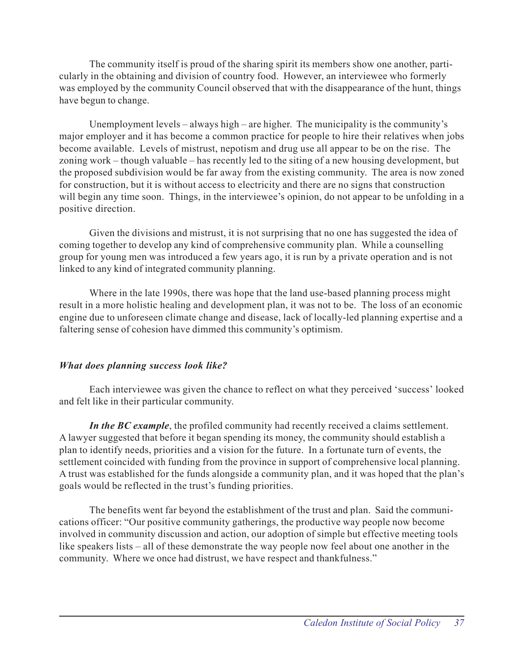The community itself is proud of the sharing spirit its members show one another, particularly in the obtaining and division of country food. However, an interviewee who formerly was employed by the community Council observed that with the disappearance of the hunt, things have begun to change.

Unemployment levels – always high – are higher. The municipality is the community's major employer and it has become a common practice for people to hire their relatives when jobs become available. Levels of mistrust, nepotism and drug use all appear to be on the rise. The zoning work – though valuable – has recently led to the siting of a new housing development, but the proposed subdivision would be far away from the existing community. The area is now zoned for construction, but it is without access to electricity and there are no signs that construction will begin any time soon. Things, in the interviewee's opinion, do not appear to be unfolding in a positive direction.

Given the divisions and mistrust, it is not surprising that no one has suggested the idea of coming together to develop any kind of comprehensive community plan. While a counselling group for young men was introduced a few years ago, it is run by a private operation and is not linked to any kind of integrated community planning.

Where in the late 1990s, there was hope that the land use-based planning process might result in a more holistic healing and development plan, it was not to be. The loss of an economic engine due to unforeseen climate change and disease, lack of locally-led planning expertise and a faltering sense of cohesion have dimmed this community's optimism.

## *What does planning success look like?*

Each interviewee was given the chance to reflect on what they perceived 'success' looked and felt like in their particular community.

*In the BC example*, the profiled community had recently received a claims settlement. A lawyer suggested that before it began spending its money, the community should establish a plan to identify needs, priorities and a vision for the future. In a fortunate turn of events, the settlement coincided with funding from the province in support of comprehensive local planning. A trust was established for the funds alongside a community plan, and it was hoped that the plan's goals would be reflected in the trust's funding priorities.

The benefits went far beyond the establishment of the trust and plan. Said the communications officer: "Our positive community gatherings, the productive way people now become involved in community discussion and action, our adoption of simple but effective meeting tools like speakers lists – all of these demonstrate the way people now feel about one another in the community. Where we once had distrust, we have respect and thankfulness."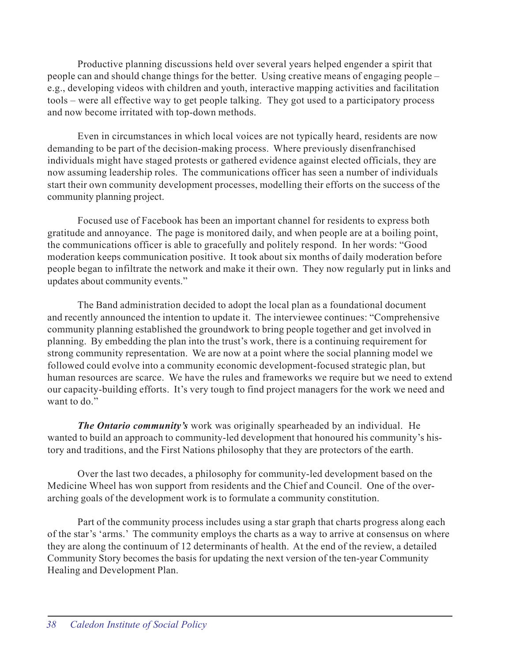Productive planning discussions held over several years helped engender a spirit that people can and should change things for the better. Using creative means of engaging people – e.g., developing videos with children and youth, interactive mapping activities and facilitation tools – were all effective way to get people talking. They got used to a participatory process and now become irritated with top-down methods.

Even in circumstances in which local voices are not typically heard, residents are now demanding to be part of the decision-making process. Where previously disenfranchised individuals might have staged protests or gathered evidence against elected officials, they are now assuming leadership roles. The communications officer has seen a number of individuals start their own community development processes, modelling their efforts on the success of the community planning project.

Focused use of Facebook has been an important channel for residents to express both gratitude and annoyance. The page is monitored daily, and when people are at a boiling point, the communications officer is able to gracefully and politely respond. In her words: "Good moderation keeps communication positive. It took about six months of daily moderation before people began to infiltrate the network and make it their own. They now regularly put in links and updates about community events."

The Band administration decided to adopt the local plan as a foundational document and recently announced the intention to update it. The interviewee continues: "Comprehensive community planning established the groundwork to bring people together and get involved in planning. By embedding the plan into the trust's work, there is a continuing requirement for strong community representation. We are now at a point where the social planning model we followed could evolve into a community economic development-focused strategic plan, but human resources are scarce. We have the rules and frameworks we require but we need to extend our capacity-building efforts. It's very tough to find project managers for the work we need and want to do."

*The Ontario community's* work was originally spearheaded by an individual. He wanted to build an approach to community-led development that honoured his community's history and traditions, and the First Nations philosophy that they are protectors of the earth.

Over the last two decades, a philosophy for community-led development based on the Medicine Wheel has won support from residents and the Chief and Council. One of the overarching goals of the development work is to formulate a community constitution.

Part of the community process includes using a star graph that charts progress along each of the star's 'arms.' The community employs the charts as a way to arrive at consensus on where they are along the continuum of 12 determinants of health. At the end of the review, a detailed Community Story becomes the basis for updating the next version of the ten-year Community Healing and Development Plan.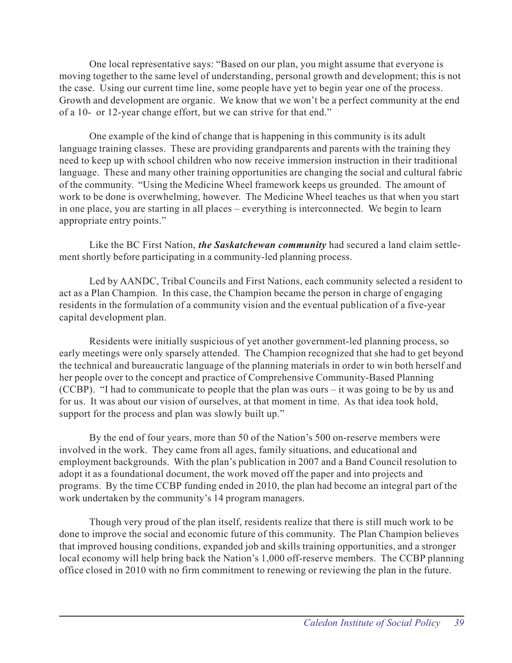One local representative says: "Based on our plan, you might assume that everyone is moving together to the same level of understanding, personal growth and development; this is not the case. Using our current time line, some people have yet to begin year one of the process. Growth and development are organic. We know that we won't be a perfect community at the end of a 10- or 12-year change effort, but we can strive for that end."

One example of the kind of change that is happening in this community is its adult language training classes. These are providing grandparents and parents with the training they need to keep up with school children who now receive immersion instruction in their traditional language. These and many other training opportunities are changing the social and cultural fabric of the community. "Using the Medicine Wheel framework keeps us grounded. The amount of work to be done is overwhelming, however. The Medicine Wheel teaches us that when you start in one place, you are starting in all places – everything is interconnected. We begin to learn appropriate entry points."

Like the BC First Nation, *the Saskatchewan community* had secured a land claim settlement shortly before participating in a community-led planning process.

Led by AANDC, Tribal Councils and First Nations, each community selected a resident to act as a Plan Champion. In this case, the Champion became the person in charge of engaging residents in the formulation of a community vision and the eventual publication of a five-year capital development plan.

Residents were initially suspicious of yet another government-led planning process, so early meetings were only sparsely attended. The Champion recognized that she had to get beyond the technical and bureaucratic language of the planning materials in order to win both herself and her people over to the concept and practice of Comprehensive Community-Based Planning (CCBP). "I had to communicate to people that the plan was ours – it was going to be by us and for us. It was about our vision of ourselves, at that moment in time. As that idea took hold, support for the process and plan was slowly built up."

By the end of four years, more than 50 of the Nation's 500 on-reserve members were involved in the work. They came from all ages, family situations, and educational and employment backgrounds. With the plan's publication in 2007 and a Band Council resolution to adopt it as a foundational document, the work moved off the paper and into projects and programs. By the time CCBP funding ended in 2010, the plan had become an integral part of the work undertaken by the community's 14 program managers.

Though very proud of the plan itself, residents realize that there is still much work to be done to improve the social and economic future of this community. The Plan Champion believes that improved housing conditions, expanded job and skills training opportunities, and a stronger local economy will help bring back the Nation's 1,000 off-reserve members. The CCBP planning office closed in 2010 with no firm commitment to renewing or reviewing the plan in the future.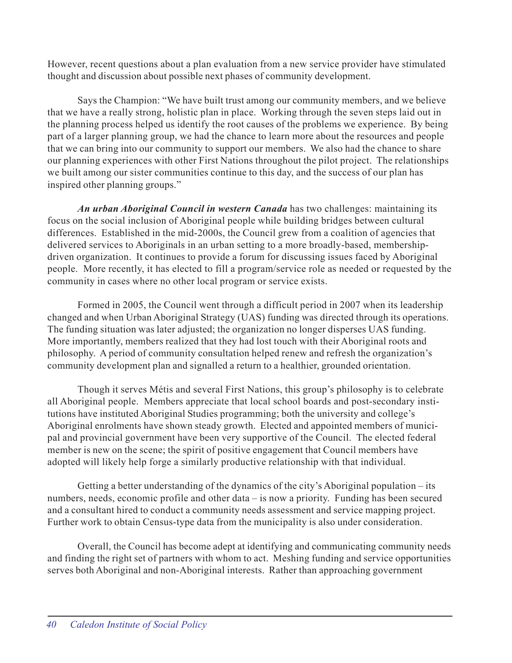However, recent questions about a plan evaluation from a new service provider have stimulated thought and discussion about possible next phases of community development.

Says the Champion: "We have built trust among our community members, and we believe that we have a really strong, holistic plan in place. Working through the seven steps laid out in the planning process helped us identify the root causes of the problems we experience. By being part of a larger planning group, we had the chance to learn more about the resources and people that we can bring into our community to support our members. We also had the chance to share our planning experiences with other First Nations throughout the pilot project. The relationships we built among our sister communities continue to this day, and the success of our plan has inspired other planning groups."

*An urban Aboriginal Council in western Canada* has two challenges: maintaining its focus on the social inclusion of Aboriginal people while building bridges between cultural differences. Established in the mid-2000s, the Council grew from a coalition of agencies that delivered services to Aboriginals in an urban setting to a more broadly-based, membershipdriven organization. It continues to provide a forum for discussing issues faced by Aboriginal people. More recently, it has elected to fill a program/service role as needed or requested by the community in cases where no other local program or service exists.

Formed in 2005, the Council went through a difficult period in 2007 when its leadership changed and when Urban Aboriginal Strategy (UAS) funding was directed through its operations. The funding situation was later adjusted; the organization no longer disperses UAS funding. More importantly, members realized that they had lost touch with their Aboriginal roots and philosophy. A period of community consultation helped renew and refresh the organization's community development plan and signalled a return to a healthier, grounded orientation.

Though it serves Métis and several First Nations, this group's philosophy is to celebrate all Aboriginal people. Members appreciate that local school boards and post-secondary institutions have instituted Aboriginal Studies programming; both the university and college's Aboriginal enrolments have shown steady growth. Elected and appointed members of municipal and provincial government have been very supportive of the Council. The elected federal member is new on the scene; the spirit of positive engagement that Council members have adopted will likely help forge a similarly productive relationship with that individual.

Getting a better understanding of the dynamics of the city's Aboriginal population – its numbers, needs, economic profile and other data – is now a priority. Funding has been secured and a consultant hired to conduct a community needs assessment and service mapping project. Further work to obtain Census-type data from the municipality is also under consideration.

Overall, the Council has become adept at identifying and communicating community needs and finding the right set of partners with whom to act. Meshing funding and service opportunities serves both Aboriginal and non-Aboriginal interests. Rather than approaching government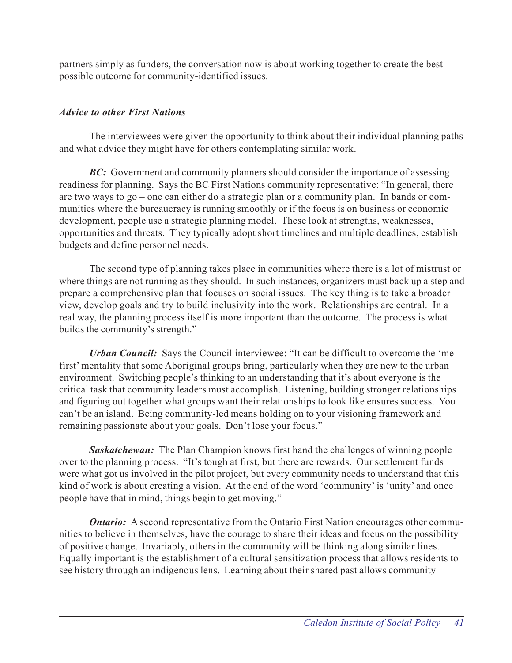partners simply as funders, the conversation now is about working together to create the best possible outcome for community-identified issues.

## *Advice to other First Nations*

The interviewees were given the opportunity to think about their individual planning paths and what advice they might have for others contemplating similar work.

**BC:** Government and community planners should consider the importance of assessing readiness for planning. Says the BC First Nations community representative: "In general, there are two ways to go – one can either do a strategic plan or a community plan. In bands or communities where the bureaucracy is running smoothly or if the focus is on business or economic development, people use a strategic planning model. These look at strengths, weaknesses, opportunities and threats. They typically adopt short timelines and multiple deadlines, establish budgets and define personnel needs.

The second type of planning takes place in communities where there is a lot of mistrust or where things are not running as they should. In such instances, organizers must back up a step and prepare a comprehensive plan that focuses on social issues. The key thing is to take a broader view, develop goals and try to build inclusivity into the work. Relationships are central. In a real way, the planning process itself is more important than the outcome. The process is what builds the community's strength."

*Urban Council:* Says the Council interviewee: "It can be difficult to overcome the 'me first' mentality that some Aboriginal groups bring, particularly when they are new to the urban environment. Switching people's thinking to an understanding that it's about everyone is the critical task that community leaders must accomplish. Listening, building stronger relationships and figuring out together what groups want their relationships to look like ensures success. You can't be an island. Being community-led means holding on to your visioning framework and remaining passionate about your goals. Don't lose your focus."

*Saskatchewan:* The Plan Champion knows first hand the challenges of winning people over to the planning process. "It's tough at first, but there are rewards. Our settlement funds were what got us involved in the pilot project, but every community needs to understand that this kind of work is about creating a vision. At the end of the word 'community' is 'unity' and once people have that in mind, things begin to get moving."

*Ontario:* A second representative from the Ontario First Nation encourages other communities to believe in themselves, have the courage to share their ideas and focus on the possibility of positive change. Invariably, others in the community will be thinking along similar lines. Equally important is the establishment of a cultural sensitization process that allows residents to see history through an indigenous lens. Learning about their shared past allows community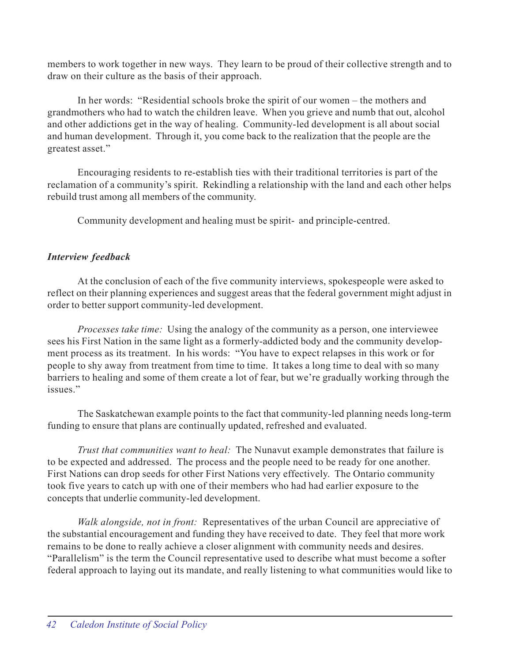members to work together in new ways. They learn to be proud of their collective strength and to draw on their culture as the basis of their approach.

In her words: "Residential schools broke the spirit of our women – the mothers and grandmothers who had to watch the children leave. When you grieve and numb that out, alcohol and other addictions get in the way of healing. Community-led development is all about social and human development. Through it, you come back to the realization that the people are the greatest asset."

Encouraging residents to re-establish ties with their traditional territories is part of the reclamation of a community's spirit. Rekindling a relationship with the land and each other helps rebuild trust among all members of the community.

Community development and healing must be spirit- and principle-centred.

## *Interview feedback*

At the conclusion of each of the five community interviews, spokespeople were asked to reflect on their planning experiences and suggest areas that the federal government might adjust in order to better support community-led development.

*Processes take time:* Using the analogy of the community as a person, one interviewee sees his First Nation in the same light as a formerly-addicted body and the community development process as its treatment. In his words: "You have to expect relapses in this work or for people to shy away from treatment from time to time. It takes a long time to deal with so many barriers to healing and some of them create a lot of fear, but we're gradually working through the issues."

The Saskatchewan example points to the fact that community-led planning needs long-term funding to ensure that plans are continually updated, refreshed and evaluated.

*Trust that communities want to heal:* The Nunavut example demonstrates that failure is to be expected and addressed. The process and the people need to be ready for one another. First Nations can drop seeds for other First Nations very effectively. The Ontario community took five years to catch up with one of their members who had had earlier exposure to the concepts that underlie community-led development.

*Walk alongside, not in front:* Representatives of the urban Council are appreciative of the substantial encouragement and funding they have received to date. They feel that more work remains to be done to really achieve a closer alignment with community needs and desires. "Parallelism" is the term the Council representative used to describe what must become a softer federal approach to laying out its mandate, and really listening to what communities would like to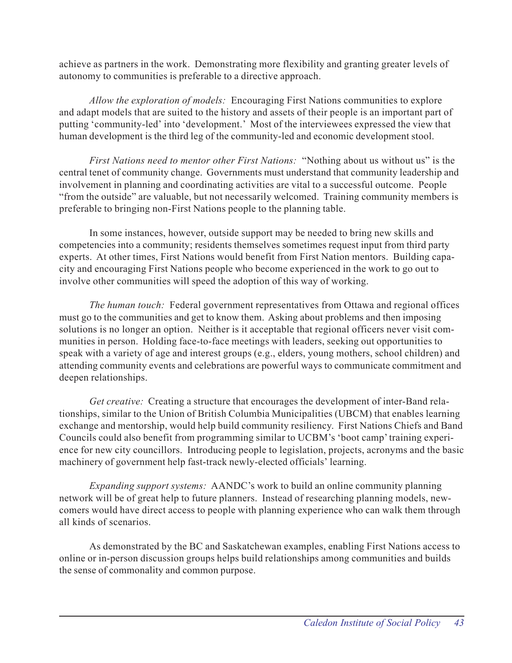achieve as partners in the work. Demonstrating more flexibility and granting greater levels of autonomy to communities is preferable to a directive approach.

*Allow the exploration of models:* Encouraging First Nations communities to explore and adapt models that are suited to the history and assets of their people is an important part of putting 'community-led' into 'development.' Most of the interviewees expressed the view that human development is the third leg of the community-led and economic development stool.

*First Nations need to mentor other First Nations:* "Nothing about us without us" is the central tenet of community change. Governments must understand that community leadership and involvement in planning and coordinating activities are vital to a successful outcome. People "from the outside" are valuable, but not necessarily welcomed. Training community members is preferable to bringing non-First Nations people to the planning table.

In some instances, however, outside support may be needed to bring new skills and competencies into a community; residents themselves sometimes request input from third party experts. At other times, First Nations would benefit from First Nation mentors. Building capacity and encouraging First Nations people who become experienced in the work to go out to involve other communities will speed the adoption of this way of working.

*The human touch:* Federal government representatives from Ottawa and regional offices must go to the communities and get to know them. Asking about problems and then imposing solutions is no longer an option. Neither is it acceptable that regional officers never visit communities in person. Holding face-to-face meetings with leaders, seeking out opportunities to speak with a variety of age and interest groups (e.g., elders, young mothers, school children) and attending community events and celebrations are powerful ways to communicate commitment and deepen relationships.

*Get creative:* Creating a structure that encourages the development of inter-Band relationships, similar to the Union of British Columbia Municipalities (UBCM) that enables learning exchange and mentorship, would help build community resiliency. First Nations Chiefs and Band Councils could also benefit from programming similar to UCBM's 'boot camp' training experience for new city councillors. Introducing people to legislation, projects, acronyms and the basic machinery of government help fast-track newly-elected officials' learning.

*Expanding support systems:* AANDC's work to build an online community planning network will be of great help to future planners. Instead of researching planning models, newcomers would have direct access to people with planning experience who can walk them through all kinds of scenarios.

As demonstrated by the BC and Saskatchewan examples, enabling First Nations access to online or in-person discussion groups helps build relationships among communities and builds the sense of commonality and common purpose.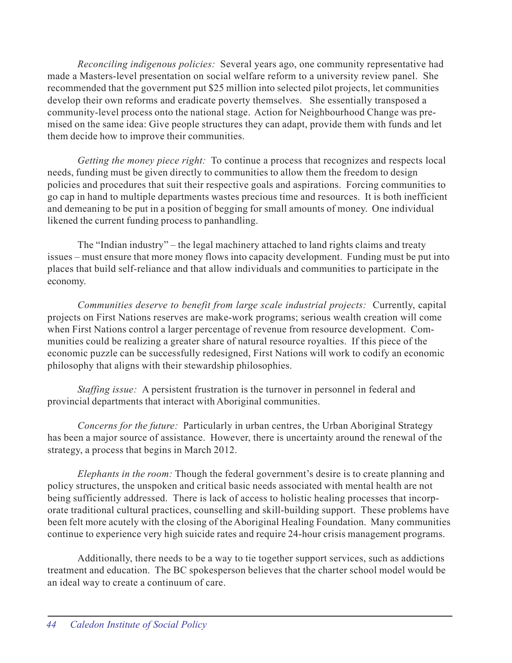*Reconciling indigenous policies:* Several years ago, one community representative had made a Masters-level presentation on social welfare reform to a university review panel. She recommended that the government put \$25 million into selected pilot projects, let communities develop their own reforms and eradicate poverty themselves. She essentially transposed a community-level process onto the national stage. Action for Neighbourhood Change was premised on the same idea: Give people structures they can adapt, provide them with funds and let them decide how to improve their communities.

*Getting the money piece right:* To continue a process that recognizes and respects local needs, funding must be given directly to communities to allow them the freedom to design policies and procedures that suit their respective goals and aspirations. Forcing communities to go cap in hand to multiple departments wastes precious time and resources. It is both inefficient and demeaning to be put in a position of begging for small amounts of money. One individual likened the current funding process to panhandling.

The "Indian industry" – the legal machinery attached to land rights claims and treaty issues – must ensure that more money flows into capacity development. Funding must be put into places that build self-reliance and that allow individuals and communities to participate in the economy.

*Communities deserve to benefit from large scale industrial projects:* Currently, capital projects on First Nations reserves are make-work programs; serious wealth creation will come when First Nations control a larger percentage of revenue from resource development. Communities could be realizing a greater share of natural resource royalties. If this piece of the economic puzzle can be successfully redesigned, First Nations will work to codify an economic philosophy that aligns with their stewardship philosophies.

*Staffing issue:* A persistent frustration is the turnover in personnel in federal and provincial departments that interact with Aboriginal communities.

*Concerns for the future:* Particularly in urban centres, the Urban Aboriginal Strategy has been a major source of assistance. However, there is uncertainty around the renewal of the strategy, a process that begins in March 2012.

*Elephants in the room:* Though the federal government's desire is to create planning and policy structures, the unspoken and critical basic needs associated with mental health are not being sufficiently addressed. There is lack of access to holistic healing processes that incorporate traditional cultural practices, counselling and skill-building support. These problems have been felt more acutely with the closing of the Aboriginal Healing Foundation. Many communities continue to experience very high suicide rates and require 24-hour crisis management programs.

Additionally, there needs to be a way to tie together support services, such as addictions treatment and education. The BC spokesperson believes that the charter school model would be an ideal way to create a continuum of care.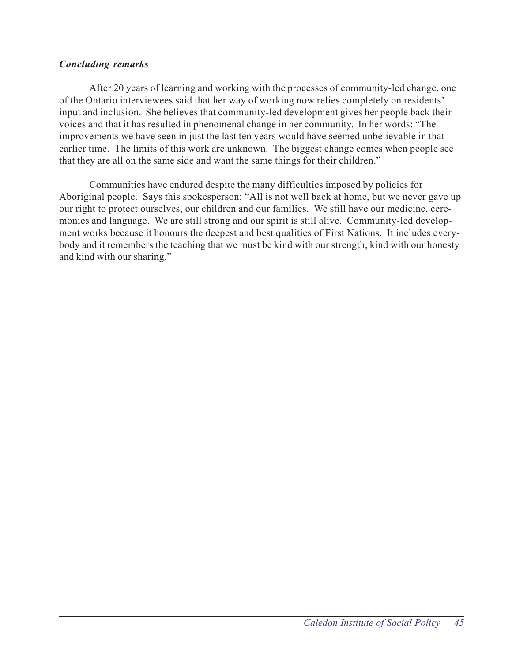## *Concluding remarks*

After 20 years of learning and working with the processes of community-led change, one of the Ontario interviewees said that her way of working now relies completely on residents' input and inclusion. She believes that community-led development gives her people back their voices and that it has resulted in phenomenal change in her community. In her words: "The improvements we have seen in just the last ten years would have seemed unbelievable in that earlier time. The limits of this work are unknown. The biggest change comes when people see that they are all on the same side and want the same things for their children."

Communities have endured despite the many difficulties imposed by policies for Aboriginal people. Says this spokesperson: "All is not well back at home, but we never gave up our right to protect ourselves, our children and our families. We still have our medicine, ceremonies and language. We are still strong and our spirit is still alive. Community-led development works because it honours the deepest and best qualities of First Nations. It includes everybody and it remembers the teaching that we must be kind with our strength, kind with our honesty and kind with our sharing."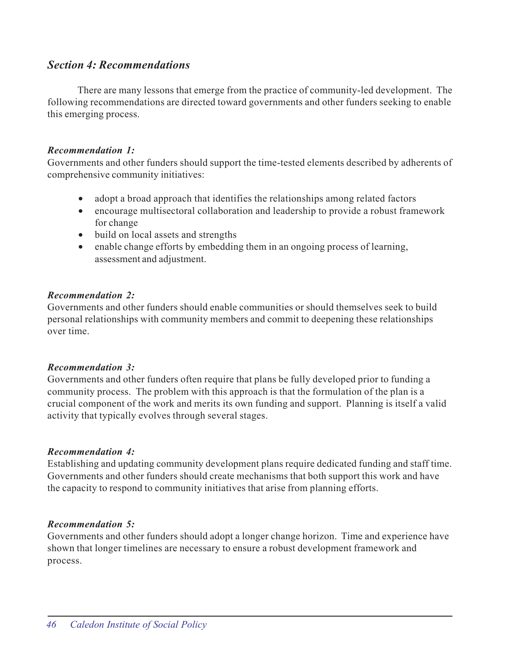## *Section 4: Recommendations*

There are many lessons that emerge from the practice of community-led development. The following recommendations are directed toward governments and other funders seeking to enable this emerging process.

## *Recommendation 1:*

Governments and other funders should support the time-tested elements described by adherents of comprehensive community initiatives:

- adopt a broad approach that identifies the relationships among related factors
- encourage multisectoral collaboration and leadership to provide a robust framework for change
- build on local assets and strengths
- enable change efforts by embedding them in an ongoing process of learning, assessment and adjustment.

## *Recommendation 2:*

Governments and other funders should enable communities or should themselves seek to build personal relationships with community members and commit to deepening these relationships over time.

## *Recommendation 3:*

Governments and other funders often require that plans be fully developed prior to funding a community process. The problem with this approach is that the formulation of the plan is a crucial component of the work and merits its own funding and support. Planning is itself a valid activity that typically evolves through several stages.

## *Recommendation 4:*

Establishing and updating community development plans require dedicated funding and staff time. Governments and other funders should create mechanisms that both support this work and have the capacity to respond to community initiatives that arise from planning efforts.

## *Recommendation 5:*

Governments and other funders should adopt a longer change horizon. Time and experience have shown that longer timelines are necessary to ensure a robust development framework and process.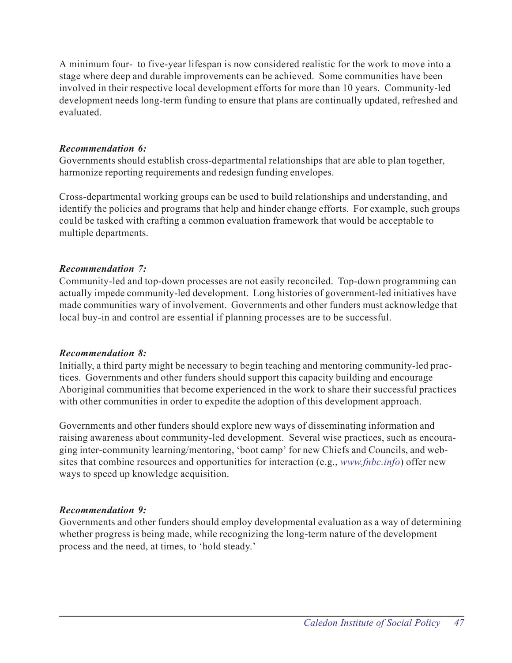A minimum four- to five-year lifespan is now considered realistic for the work to move into a stage where deep and durable improvements can be achieved. Some communities have been involved in their respective local development efforts for more than 10 years. Community-led development needs long-term funding to ensure that plans are continually updated, refreshed and evaluated.

## *Recommendation 6:*

Governments should establish cross-departmental relationships that are able to plan together, harmonize reporting requirements and redesign funding envelopes.

Cross-departmental working groups can be used to build relationships and understanding, and identify the policies and programs that help and hinder change efforts. For example, such groups could be tasked with crafting a common evaluation framework that would be acceptable to multiple departments.

## *Recommendation 7:*

Community-led and top-down processes are not easily reconciled. Top-down programming can actually impede community-led development. Long histories of government-led initiatives have made communities wary of involvement. Governments and other funders must acknowledge that local buy-in and control are essential if planning processes are to be successful.

## *Recommendation 8:*

Initially, a third party might be necessary to begin teaching and mentoring community-led practices. Governments and other funders should support this capacity building and encourage Aboriginal communities that become experienced in the work to share their successful practices with other communities in order to expedite the adoption of this development approach.

Governments and other funders should explore new ways of disseminating information and raising awareness about community-led development. Several wise practices, such as encouraging inter-community learning/mentoring, 'boot camp' for new Chiefs and Councils, and websites that combine resources and opportunities for interaction (e.g., *www.fnbc.info*) offer new ways to speed up knowledge acquisition.

## *Recommendation 9:*

Governments and other funders should employ developmental evaluation as a way of determining whether progress is being made, while recognizing the long-term nature of the development process and the need, at times, to 'hold steady.'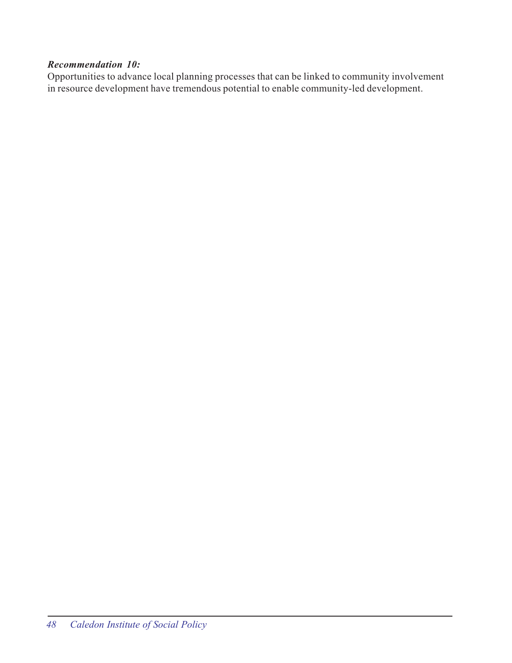## *Recommendation 10:*

Opportunities to advance local planning processes that can be linked to community involvement in resource development have tremendous potential to enable community-led development.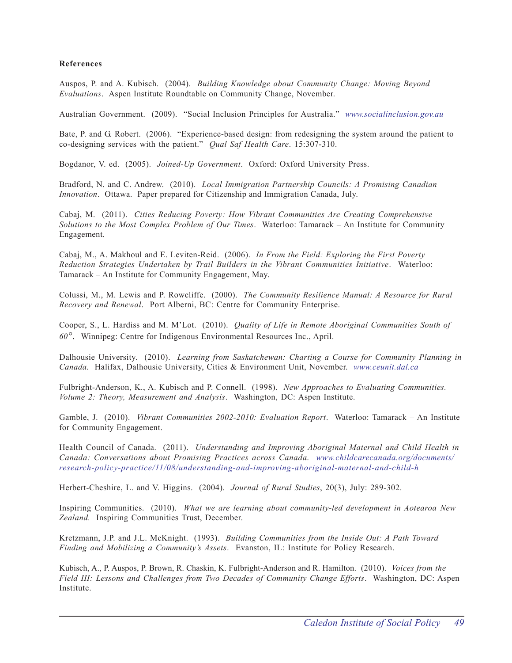#### **References**

Auspos, P. and A. Kubisch. (2004). *Building Knowledge about Community Change: Moving Beyond Evaluations*. Aspen Institute Roundtable on Community Change, November.

Australian Government. (2009). "Social Inclusion Principles for Australia." *www.socialinclusion.gov.au*

Bate, P. and G. Robert. (2006). "Experience-based design: from redesigning the system around the patient to co-designing services with the patient." *Qual Saf Health Care*. 15:307-310.

Bogdanor, V. ed. (2005). *Joined-Up Government*. Oxford: Oxford University Press.

Bradford, N. and C. Andrew. (2010). *Local Immigration Partnership Councils: A Promising Canadian Innovation*. Ottawa. Paper prepared for Citizenship and Immigration Canada, July.

Cabaj, M. (2011). *Cities Reducing Poverty: How Vibrant Communities Are Creating Comprehensive Solutions to the Most Complex Problem of Our Times*. Waterloo: Tamarack – An Institute for Community Engagement.

Cabaj, M., A. Makhoul and E. Leviten-Reid. (2006). *In From the Field: Exploring the First Poverty Reduction Strategies Undertaken by Trail Builders in the Vibrant Communities Initiative*. Waterloo: Tamarack – An Institute for Community Engagement, May.

Colussi, M., M. Lewis and P. Rowcliffe. (2000). *The Community Resilience Manual: A Resource for Rural Recovery and Renewal*. Port Alberni, BC: Centre for Community Enterprise.

Cooper, S., L. Hardiss and M. M'Lot. (2010). *Quality of Life in Remote Aboriginal Communities South of 60°*. Winnipeg: Centre for Indigenous Environmental Resources Inc., April.

Dalhousie University. (2010). *Learning from Saskatchewan: Charting a Course for Community Planning in Canada.* Halifax, Dalhousie University, Cities & Environment Unit, November. *www.ceunit.dal.ca*

Fulbright-Anderson, K., A. Kubisch and P. Connell. (1998). *New Approaches to Evaluating Communities. Volume 2: Theory, Measurement and Analysis*. Washington, DC: Aspen Institute.

Gamble, J. (2010). *Vibrant Communities 2002-2010: Evaluation Report*. Waterloo: Tamarack – An Institute for Community Engagement.

Health Council of Canada. (2011). *Understanding and Improving Aboriginal Maternal and Child Health in Canada: Conversations about Promising Practices across Canada*. *www.childcarecanada.org/documents/ research-policy-practice/11/08/understanding-and-improving-aboriginal-maternal-and-child-h*

Herbert-Cheshire, L. and V. Higgins. (2004). *Journal of Rural Studies*, 20(3), July: 289-302.

Inspiring Communities. (2010). *What we are learning about community-led development in Aotearoa New Zealand.* Inspiring Communities Trust, December.

Kretzmann, J.P. and J.L. McKnight. (1993). *Building Communities from the Inside Out: A Path Toward Finding and Mobilizing a Community's Assets*. Evanston, IL: Institute for Policy Research.

Kubisch, A., P. Auspos, P. Brown, R. Chaskin, K. Fulbright-Anderson and R. Hamilton. (2010). *Voices from the Field III: Lessons and Challenges from Two Decades of Community Change Efforts*. Washington, DC: Aspen Institute.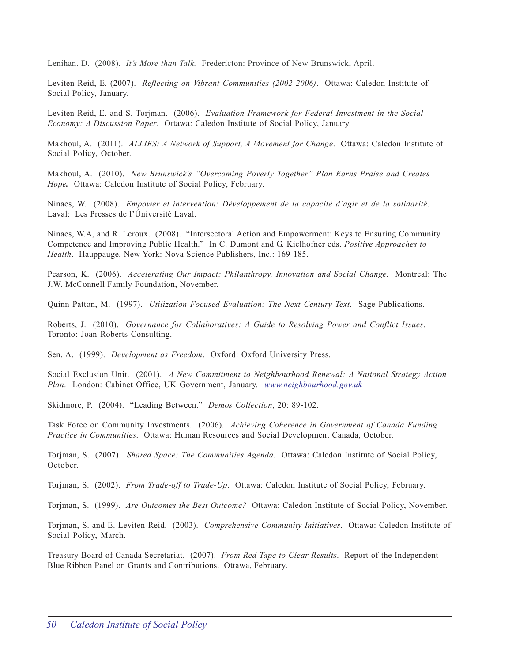Lenihan. D. (2008). *It's More than Talk.* Fredericton: Province of New Brunswick, April.

Leviten-Reid, E. (2007). *Reflecting on Vibrant Communities (2002-2006)*. Ottawa: Caledon Institute of Social Policy, January.

Leviten-Reid, E. and S. Torjman. (2006). *Evaluation Framework for Federal Investment in the Social Economy: A Discussion Paper*. Ottawa: Caledon Institute of Social Policy, January.

Makhoul, A. (2011). *ALLIES: A Network of Support, A Movement for Change*. Ottawa: Caledon Institute of Social Policy, October.

Makhoul, A. (2010). *New Brunswick's "Overcoming Poverty Together" Plan Earns Praise and Creates Hope.* Ottawa: Caledon Institute of Social Policy, February.

Ninacs, W. (2008). *Empower et intervention: Développement de la capacité d'agir et de la solidarité*. Laval: Les Presses de l'Úniversité Laval.

Ninacs, W.A, and R. Leroux. (2008). "Intersectoral Action and Empowerment: Keys to Ensuring Community Competence and Improving Public Health." In C. Dumont and G. Kielhofner eds. *Positive Approaches to Health*. Hauppauge, New York: Nova Science Publishers, Inc.: 169-185.

Pearson, K. (2006). *Accelerating Our Impact: Philanthropy, Innovation and Social Change*. Montreal: The J.W. McConnell Family Foundation, November.

Quinn Patton, M. (1997). *Utilization-Focused Evaluation: The Next Century Text*. Sage Publications.

Roberts, J. (2010). *Governance for Collaboratives: A Guide to Resolving Power and Conflict Issues*. Toronto: Joan Roberts Consulting.

Sen, A. (1999). *Development as Freedom*. Oxford: Oxford University Press.

Social Exclusion Unit. (2001). *A New Commitment to Neighbourhood Renewal: A National Strategy Action Plan*. London: Cabinet Office, UK Government, January. *www.neighbourhood.gov.uk*

Skidmore, P. (2004). "Leading Between." *Demos Collection*, 20: 89-102.

Task Force on Community Investments. (2006). *Achieving Coherence in Government of Canada Funding Practice in Communities*. Ottawa: Human Resources and Social Development Canada, October.

Torjman, S. (2007). *Shared Space: The Communities Agenda*. Ottawa: Caledon Institute of Social Policy, October.

Torjman, S. (2002). *From Trade-off to Trade-Up*. Ottawa: Caledon Institute of Social Policy, February.

Torjman, S. (1999). *Are Outcomes the Best Outcome?* Ottawa: Caledon Institute of Social Policy, November.

Torjman, S. and E. Leviten-Reid. (2003). *Comprehensive Community Initiatives*. Ottawa: Caledon Institute of Social Policy, March.

Treasury Board of Canada Secretariat. (2007). *From Red Tape to Clear Results*. Report of the Independent Blue Ribbon Panel on Grants and Contributions. Ottawa, February.